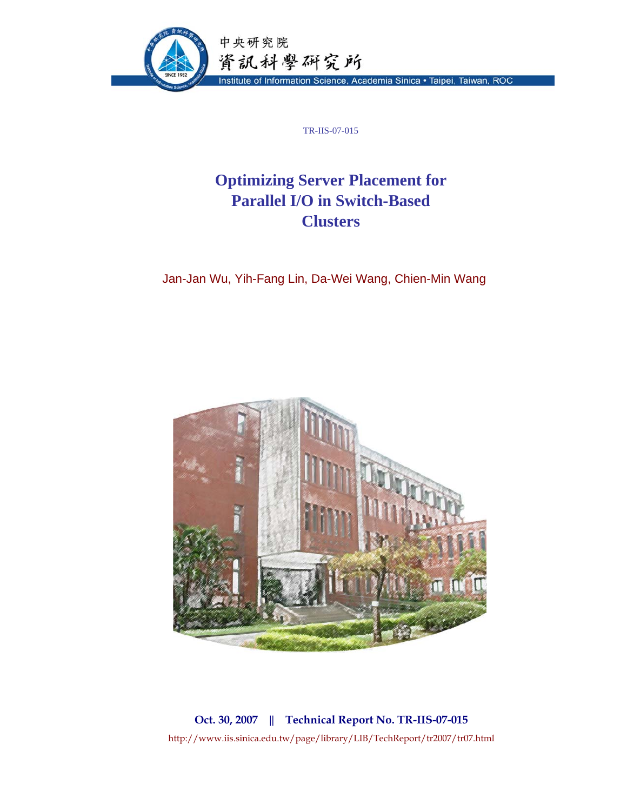

TR-IIS-07-015

# **Optimizing Server Placement for Parallel I/O in Switch-Based Clusters**

Jan-Jan Wu, Yih-Fang Lin, Da-Wei Wang, Chien-Min Wang



**Oct. 30, 2007 || Technical Report No. TR-IIS-07-015**  http://www.iis.sinica.edu.tw/page/library/LIB/TechReport/tr2007/tr07.html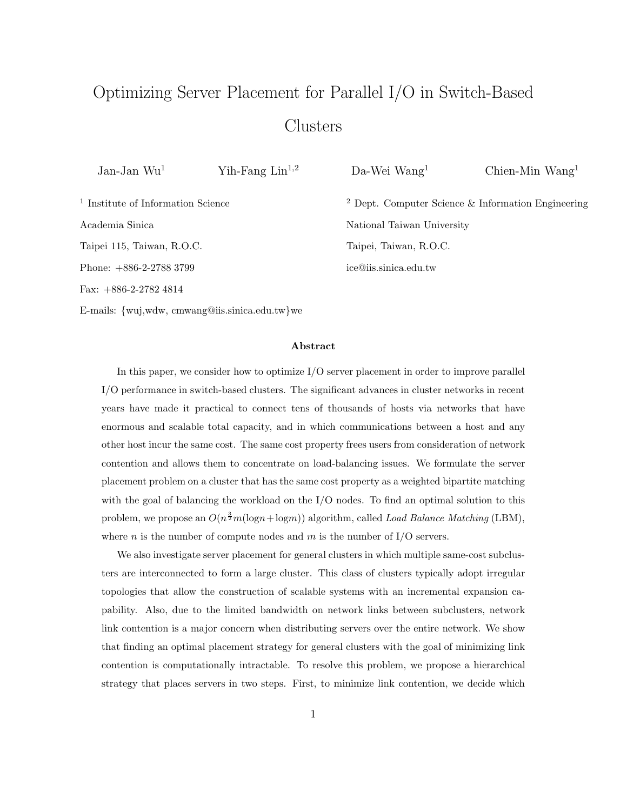# Optimizing Server Placement for Parallel I/O in Switch-Based **Clusters**

Jan-Jan Wu<sup>1</sup> Yih-Fang Lin<sup>1,2</sup> Da-Wei Wang<sup>1</sup> Chien-Min Wang<sup>1</sup>

<sup>1</sup> Institute of Information Science Academia Sinica Taipei 115, Taiwan, R.O.C.

Phone: +886-2-2788 3799

Fax: +886-2-2782 4814

E-mails: {wuj,wdw, cmwang@iis.sinica.edu.tw}we

 $2$  Dept. Computer Science & Information Engineering National Taiwan University Taipei, Taiwan, R.O.C. ice@iis.sinica.edu.tw

### **Abstract**

In this paper, we consider how to optimize  $I/O$  server placement in order to improve parallel I/O performance in switch-based clusters. The significant advances in cluster networks in recent years have made it practical to connect tens of thousands of hosts via networks that have enormous and scalable total capacity, and in which communications between a host and any other host incur the same cost. The same cost property frees users from consideration of network contention and allows them to concentrate on load-balancing issues. We formulate the server placement problem on a cluster that has the same cost property as a weighted bipartite matching with the goal of balancing the workload on the I/O nodes. To find an optimal solution to this problem, we propose an  $O(n^{\frac{3}{2}}m(\log n + \log m))$  algorithm, called *Load Balance Matching* (LBM), where *n* is the number of compute nodes and  $m$  is the number of I/O servers.

We also investigate server placement for general clusters in which multiple same-cost subclusters are interconnected to form a large cluster. This class of clusters typically adopt irregular topologies that allow the construction of scalable systems with an incremental expansion capability. Also, due to the limited bandwidth on network links between subclusters, network link contention is a major concern when distributing servers over the entire network. We show that finding an optimal placement strategy for general clusters with the goal of minimizing link contention is computationally intractable. To resolve this problem, we propose a hierarchical strategy that places servers in two steps. First, to minimize link contention, we decide which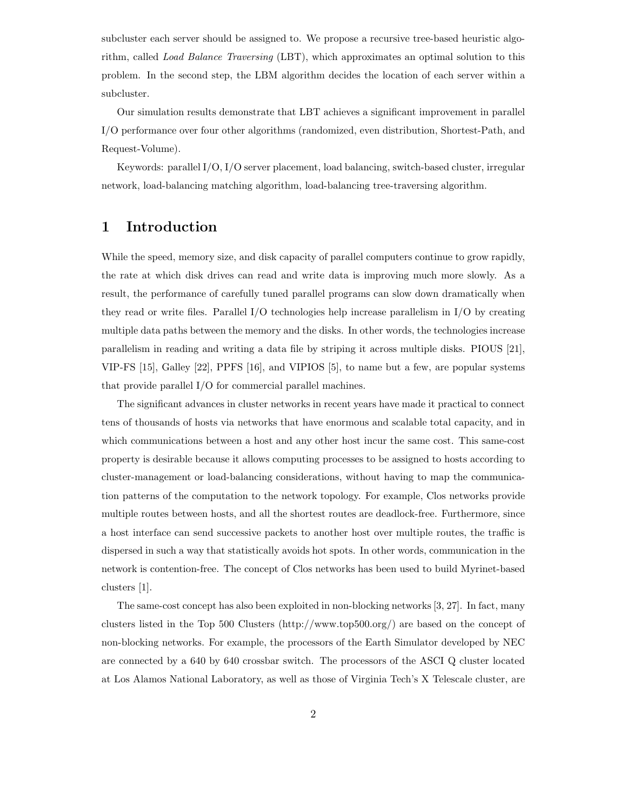subcluster each server should be assigned to. We propose a recursive tree-based heuristic algorithm, called *Load Balance Traversing* (LBT), which approximates an optimal solution to this problem. In the second step, the LBM algorithm decides the location of each server within a subcluster.

Our simulation results demonstrate that LBT achieves a significant improvement in parallel I/O performance over four other algorithms (randomized, even distribution, Shortest-Path, and Request-Volume).

Keywords: parallel I/O, I/O server placement, load balancing, switch-based cluster, irregular network, load-balancing matching algorithm, load-balancing tree-traversing algorithm.

# **1 Introduction**

While the speed, memory size, and disk capacity of parallel computers continue to grow rapidly, the rate at which disk drives can read and write data is improving much more slowly. As a result, the performance of carefully tuned parallel programs can slow down dramatically when they read or write files. Parallel I/O technologies help increase parallelism in I/O by creating multiple data paths between the memory and the disks. In other words, the technologies increase parallelism in reading and writing a data file by striping it across multiple disks. PIOUS [21], VIP-FS [15], Galley [22], PPFS [16], and VIPIOS [5], to name but a few, are popular systems that provide parallel I/O for commercial parallel machines.

The significant advances in cluster networks in recent years have made it practical to connect tens of thousands of hosts via networks that have enormous and scalable total capacity, and in which communications between a host and any other host incur the same cost. This same-cost property is desirable because it allows computing processes to be assigned to hosts according to cluster-management or load-balancing considerations, without having to map the communication patterns of the computation to the network topology. For example, Clos networks provide multiple routes between hosts, and all the shortest routes are deadlock-free. Furthermore, since a host interface can send successive packets to another host over multiple routes, the traffic is dispersed in such a way that statistically avoids hot spots. In other words, communication in the network is contention-free. The concept of Clos networks has been used to build Myrinet-based clusters [1].

The same-cost concept has also been exploited in non-blocking networks [3, 27]. In fact, many clusters listed in the Top 500 Clusters (http://www.top500.org/) are based on the concept of non-blocking networks. For example, the processors of the Earth Simulator developed by NEC are connected by a 640 by 640 crossbar switch. The processors of the ASCI Q cluster located at Los Alamos National Laboratory, as well as those of Virginia Tech's X Telescale cluster, are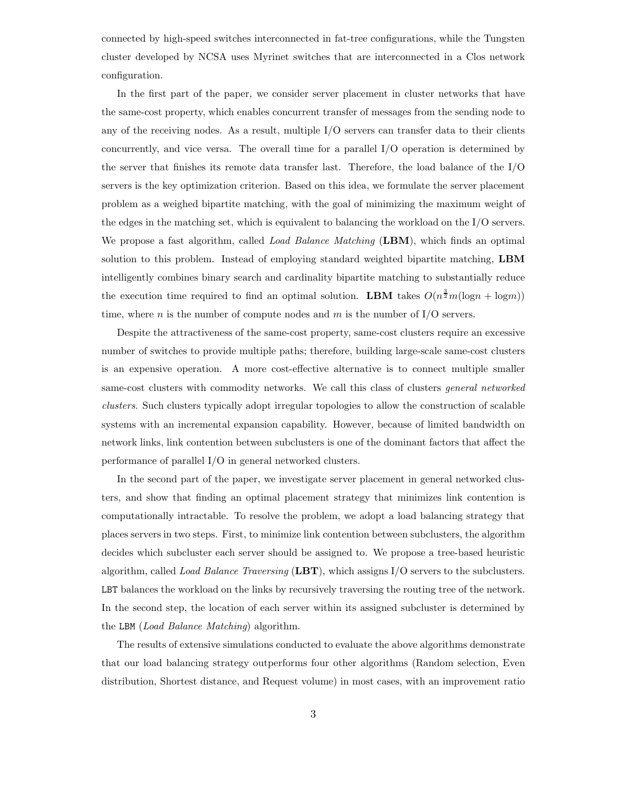connected by high-speed switches interconnected in fat-tree configurations, while the Tungsten cluster developed by NCSA uses Myrinet switches that are interconnected in a Clos network configuration.

In the first part of the paper, we consider server placement in cluster networks that have the same-cost property, which enables concurrent transfer of messages from the sending node to any of the receiving nodes. As a result, multiple I/O servers can transfer data to their clients concurrently, and vice versa. The overall time for a parallel I/O operation is determined by the server that finishes its remote data transfer last. Therefore, the load balance of the I/O servers is the key optimization criterion. Based on this idea, we formulate the server placement problem as a weighed bipartite matching, with the goal of minimizing the maximum weight of the edges in the matching set, which is equivalent to balancing the workload on the I/O servers. We propose a fast algorithm, called *Load Balance Matching* (**LBM**), which finds an optimal solution to this problem. Instead of employing standard weighted bipartite matching, **LBM** intelligently combines binary search and cardinality bipartite matching to substantially reduce the execution time required to find an optimal solution. **LBM** takes  $O(n^{\frac{3}{2}}m(\log n + \log m))$ time, where *n* is the number of compute nodes and *m* is the number of I/O servers.

Despite the attractiveness of the same-cost property, same-cost clusters require an excessive number of switches to provide multiple paths; therefore, building large-scale same-cost clusters is an expensive operation. A more cost-effective alternative is to connect multiple smaller same-cost clusters with commodity networks. We call this class of clusters *general networked clusters*. Such clusters typically adopt irregular topologies to allow the construction of scalable systems with an incremental expansion capability. However, because of limited bandwidth on network links, link contention between subclusters is one of the dominant factors that affect the performance of parallel I/O in general networked clusters.

In the second part of the paper, we investigate server placement in general networked clusters, and show that finding an optimal placement strategy that minimizes link contention is computationally intractable. To resolve the problem, we adopt a load balancing strategy that places servers in two steps. First, to minimize link contention between subclusters, the algorithm decides which subcluster each server should be assigned to. We propose a tree-based heuristic algorithm, called *Load Balance Traversing* (**LBT**), which assigns I/O servers to the subclusters. LBT balances the workload on the links by recursively traversing the routing tree of the network. In the second step, the location of each server within its assigned subcluster is determined by the LBM (*Load Balance Matching*) algorithm.

The results of extensive simulations conducted to evaluate the above algorithms demonstrate that our load balancing strategy outperforms four other algorithms (Random selection, Even distribution, Shortest distance, and Request volume) in most cases, with an improvement ratio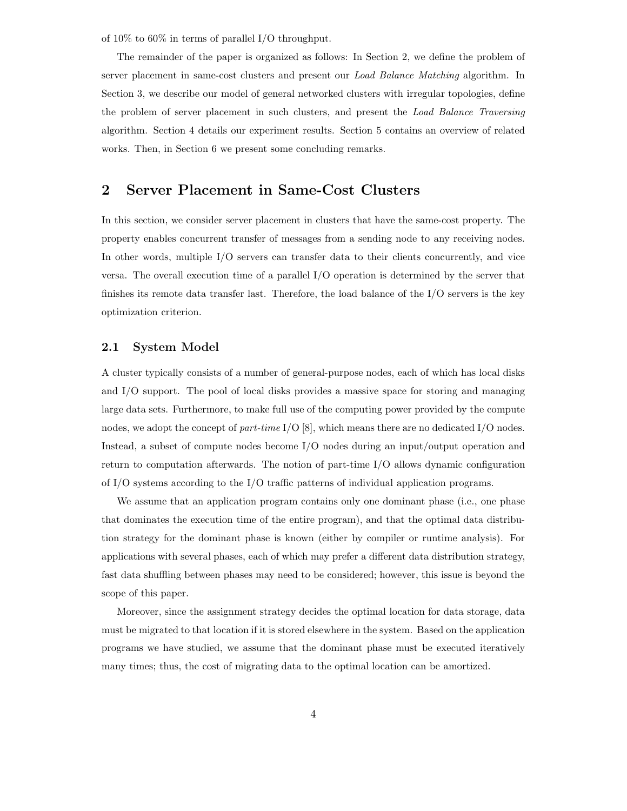of 10% to 60% in terms of parallel I/O throughput.

The remainder of the paper is organized as follows: In Section 2, we define the problem of server placement in same-cost clusters and present our *Load Balance Matching* algorithm. In Section 3, we describe our model of general networked clusters with irregular topologies, define the problem of server placement in such clusters, and present the *Load Balance Traversing* algorithm. Section 4 details our experiment results. Section 5 contains an overview of related works. Then, in Section 6 we present some concluding remarks.

# **2 Server Placement in Same-Cost Clusters**

In this section, we consider server placement in clusters that have the same-cost property. The property enables concurrent transfer of messages from a sending node to any receiving nodes. In other words, multiple I/O servers can transfer data to their clients concurrently, and vice versa. The overall execution time of a parallel I/O operation is determined by the server that finishes its remote data transfer last. Therefore, the load balance of the  $I/O$  servers is the key optimization criterion.

## **2.1 System Model**

A cluster typically consists of a number of general-purpose nodes, each of which has local disks and I/O support. The pool of local disks provides a massive space for storing and managing large data sets. Furthermore, to make full use of the computing power provided by the compute nodes, we adopt the concept of *part-time* I/O [8], which means there are no dedicated I/O nodes. Instead, a subset of compute nodes become I/O nodes during an input/output operation and return to computation afterwards. The notion of part-time I/O allows dynamic configuration of I/O systems according to the I/O traffic patterns of individual application programs.

We assume that an application program contains only one dominant phase (i.e., one phase that dominates the execution time of the entire program), and that the optimal data distribution strategy for the dominant phase is known (either by compiler or runtime analysis). For applications with several phases, each of which may prefer a different data distribution strategy, fast data shuffling between phases may need to be considered; however, this issue is beyond the scope of this paper.

Moreover, since the assignment strategy decides the optimal location for data storage, data must be migrated to that location if it is stored elsewhere in the system. Based on the application programs we have studied, we assume that the dominant phase must be executed iteratively many times; thus, the cost of migrating data to the optimal location can be amortized.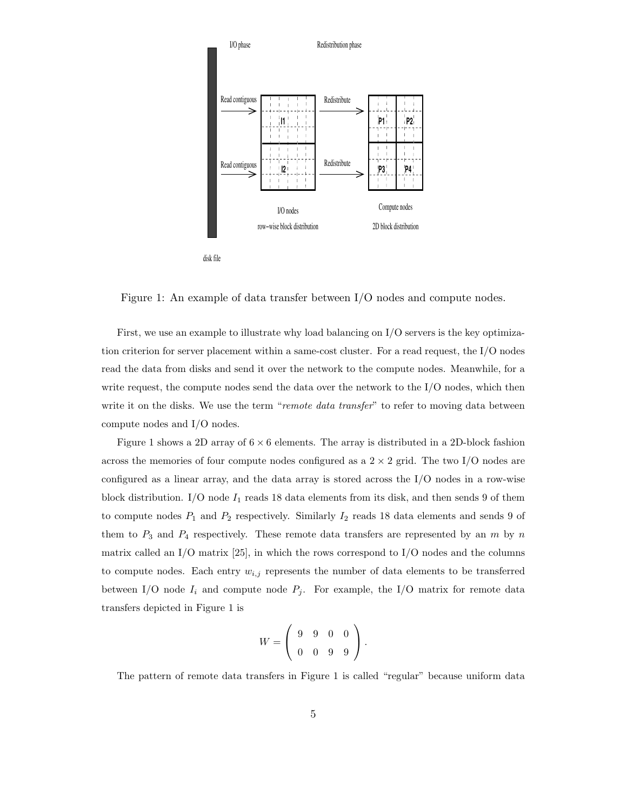

Figure 1: An example of data transfer between I/O nodes and compute nodes.

First, we use an example to illustrate why load balancing on I/O servers is the key optimization criterion for server placement within a same-cost cluster. For a read request, the I/O nodes read the data from disks and send it over the network to the compute nodes. Meanwhile, for a write request, the compute nodes send the data over the network to the I/O nodes, which then write it on the disks. We use the term "*remote data transfer*" to refer to moving data between compute nodes and I/O nodes.

Figure 1 shows a 2D array of  $6 \times 6$  elements. The array is distributed in a 2D-block fashion across the memories of four compute nodes configured as a  $2 \times 2$  grid. The two I/O nodes are configured as a linear array, and the data array is stored across the I/O nodes in a row-wise block distribution. I/O node *I*<sup>1</sup> reads 18 data elements from its disk, and then sends 9 of them to compute nodes *P*<sup>1</sup> and *P*<sup>2</sup> respectively. Similarly *I*<sup>2</sup> reads 18 data elements and sends 9 of them to  $P_3$  and  $P_4$  respectively. These remote data transfers are represented by an  $m$  by  $n$ matrix called an  $I/O$  matrix [25], in which the rows correspond to  $I/O$  nodes and the columns to compute nodes. Each entry  $w_{i,j}$  represents the number of data elements to be transferred between I/O node  $I_i$  and compute node  $P_j$ . For example, the I/O matrix for remote data transfers depicted in Figure 1 is

$$
W = \left( \begin{array}{rrr} 9 & 9 & 0 & 0 \\ 0 & 0 & 9 & 9 \end{array} \right).
$$

The pattern of remote data transfers in Figure 1 is called "regular" because uniform data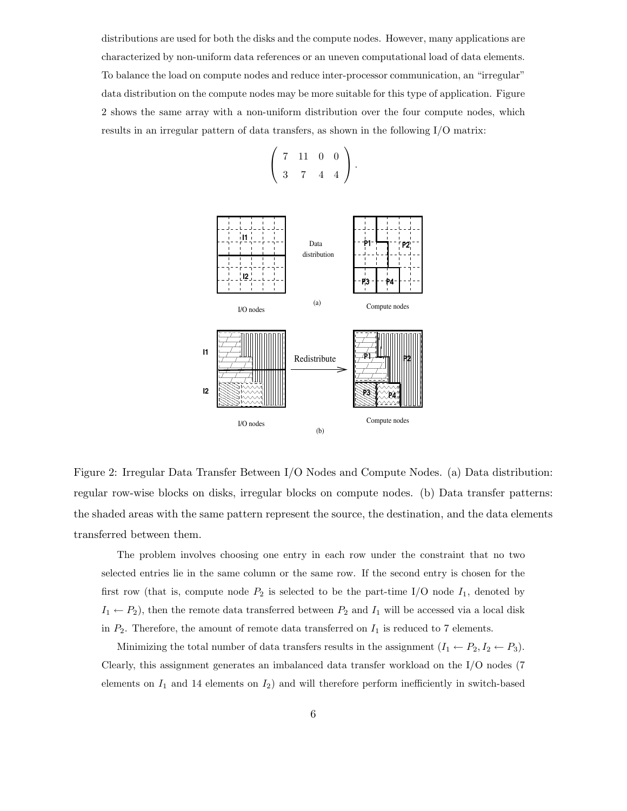distributions are used for both the disks and the compute nodes. However, many applications are characterized by non-uniform data references or an uneven computational load of data elements. To balance the load on compute nodes and reduce inter-processor communication, an "irregular" data distribution on the compute nodes may be more suitable for this type of application. Figure 2 shows the same array with a non-uniform distribution over the four compute nodes, which results in an irregular pattern of data transfers, as shown in the following I/O matrix:

$$
\left(\begin{array}{rrr} 7 & 11 & 0 & 0 \\ 3 & 7 & 4 & 4 \end{array}\right).
$$



Figure 2: Irregular Data Transfer Between I/O Nodes and Compute Nodes. (a) Data distribution: regular row-wise blocks on disks, irregular blocks on compute nodes. (b) Data transfer patterns: the shaded areas with the same pattern represent the source, the destination, and the data elements transferred between them.

The problem involves choosing one entry in each row under the constraint that no two selected entries lie in the same column or the same row. If the second entry is chosen for the first row (that is, compute node  $P_2$  is selected to be the part-time I/O node  $I_1$ , denoted by  $I_1 \leftarrow P_2$ , then the remote data transferred between  $P_2$  and  $I_1$  will be accessed via a local disk in  $P_2$ . Therefore, the amount of remote data transferred on  $I_1$  is reduced to 7 elements.

Minimizing the total number of data transfers results in the assignment  $(I_1 \leftarrow P_2, I_2 \leftarrow P_3)$ . Clearly, this assignment generates an imbalanced data transfer workload on the I/O nodes (7 elements on  $I_1$  and 14 elements on  $I_2$ ) and will therefore perform inefficiently in switch-based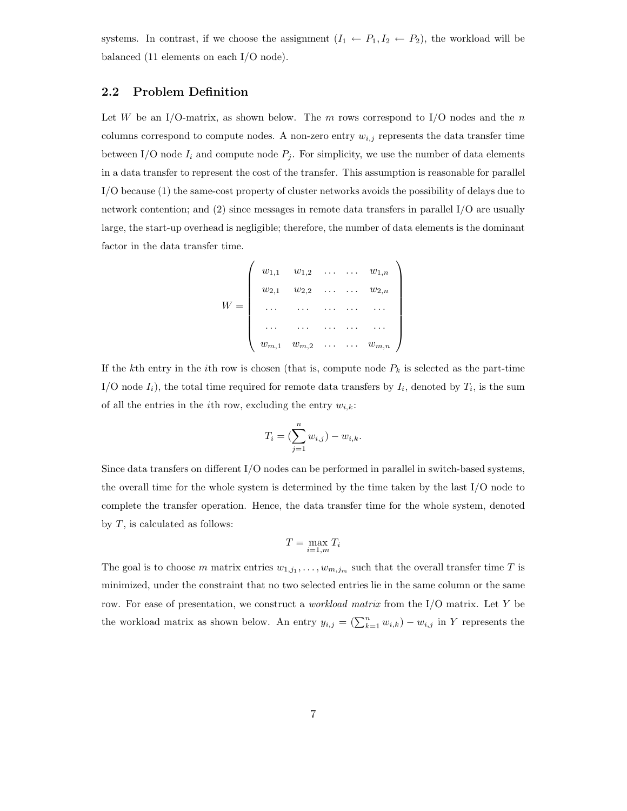systems. In contrast, if we choose the assignment  $(I_1 \leftarrow P_1, I_2 \leftarrow P_2)$ , the workload will be balanced (11 elements on each I/O node).

## **2.2 Problem Definition**

Let *W* be an I/O-matrix, as shown below. The *m* rows correspond to I/O nodes and the *n* columns correspond to compute nodes. A non-zero entry  $w_{i,j}$  represents the data transfer time between I/O node  $I_i$  and compute node  $P_j$ . For simplicity, we use the number of data elements in a data transfer to represent the cost of the transfer. This assumption is reasonable for parallel I/O because (1) the same-cost property of cluster networks avoids the possibility of delays due to network contention; and (2) since messages in remote data transfers in parallel I/O are usually large, the start-up overhead is negligible; therefore, the number of data elements is the dominant factor in the data transfer time.

$$
W = \left(\begin{array}{cccc} w_{1,1} & w_{1,2} & \dots & \dots & w_{1,n} \\ w_{2,1} & w_{2,2} & \dots & \dots & w_{2,n} \\ \dots & \dots & \dots & \dots & \dots \\ \dots & \dots & \dots & \dots & \dots \\ w_{m,1} & w_{m,2} & \dots & \dots & w_{m,n} \end{array}\right)
$$

If the *k*th entry in the *i*th row is chosen (that is, compute node  $P_k$  is selected as the part-time I/O node  $I_i$ ), the total time required for remote data transfers by  $I_i$ , denoted by  $T_i$ , is the sum of all the entries in the *i*th row, excluding the entry  $w_{i,k}$ :

$$
T_i = (\sum_{j=1}^n w_{i,j}) - w_{i,k}.
$$

Since data transfers on different I/O nodes can be performed in parallel in switch-based systems, the overall time for the whole system is determined by the time taken by the last I/O node to complete the transfer operation. Hence, the data transfer time for the whole system, denoted by  $T$ , is calculated as follows:

$$
T = \max_{i=1,m} T_i
$$

The goal is to choose *m* matrix entries  $w_{1,j_1}, \ldots, w_{m,j_m}$  such that the overall transfer time *T* is minimized, under the constraint that no two selected entries lie in the same column or the same row. For ease of presentation, we construct a *workload matrix* from the I/O matrix. Let *Y* be the workload matrix as shown below. An entry  $y_{i,j} = (\sum_{k=1}^n w_{i,k}) - w_{i,j}$  in *Y* represents the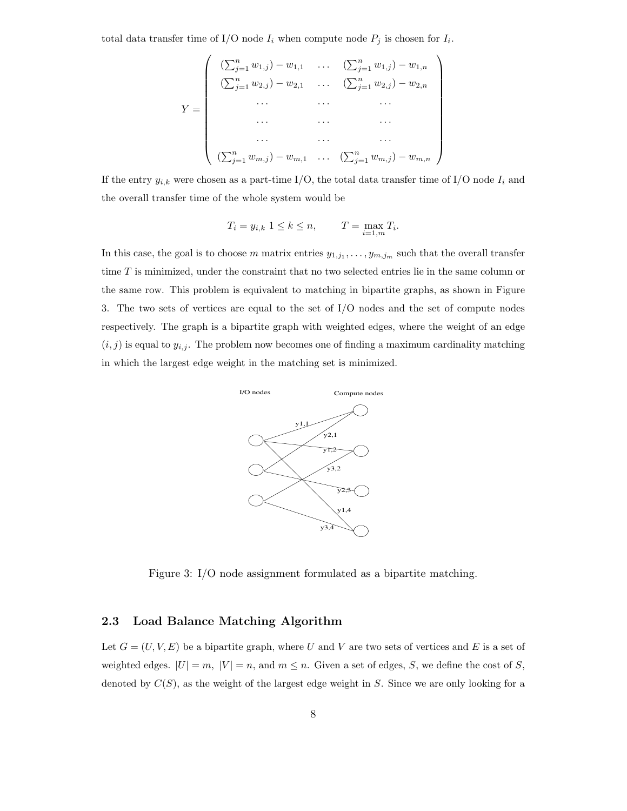total data transfer time of I/O node  $I_i$  when compute node  $P_j$  is chosen for  $I_i$ .

$$
Y = \begin{pmatrix} \left(\sum_{j=1}^{n} w_{1,j}\right) - w_{1,1} & \dots & \left(\sum_{j=1}^{n} w_{1,j}\right) - w_{1,n} \\ \left(\sum_{j=1}^{n} w_{2,j}\right) - w_{2,1} & \dots & \left(\sum_{j=1}^{n} w_{2,j}\right) - w_{2,n} \\ \dots & \dots & \dots \\ \dots & \dots & \dots \\ \dots & \dots & \dots \\ \left(\sum_{j=1}^{n} w_{m,j}\right) - w_{m,1} & \dots & \left(\sum_{j=1}^{n} w_{m,j}\right) - w_{m,n} \end{pmatrix}
$$

If the entry  $y_{i,k}$  were chosen as a part-time I/O, the total data transfer time of I/O node  $I_i$  and the overall transfer time of the whole system would be

$$
T_i = y_{i,k} \ 1 \le k \le n, \qquad T = \max_{i=1,m} T_i.
$$

In this case, the goal is to choose *m* matrix entries  $y_{1,j_1}, \ldots, y_{m,j_m}$  such that the overall transfer time *T* is minimized, under the constraint that no two selected entries lie in the same column or the same row. This problem is equivalent to matching in bipartite graphs, as shown in Figure 3. The two sets of vertices are equal to the set of I/O nodes and the set of compute nodes respectively. The graph is a bipartite graph with weighted edges, where the weight of an edge  $(i, j)$  is equal to  $y_{i,j}$ . The problem now becomes one of finding a maximum cardinality matching in which the largest edge weight in the matching set is minimized.



Figure 3: I/O node assignment formulated as a bipartite matching.

## **2.3 Load Balance Matching Algorithm**

Let  $G = (U, V, E)$  be a bipartite graph, where U and V are two sets of vertices and E is a set of weighted edges.  $|U| = m$ ,  $|V| = n$ , and  $m \leq n$ . Given a set of edges, *S*, we define the cost of *S*, denoted by *C*(*S*), as the weight of the largest edge weight in *S*. Since we are only looking for a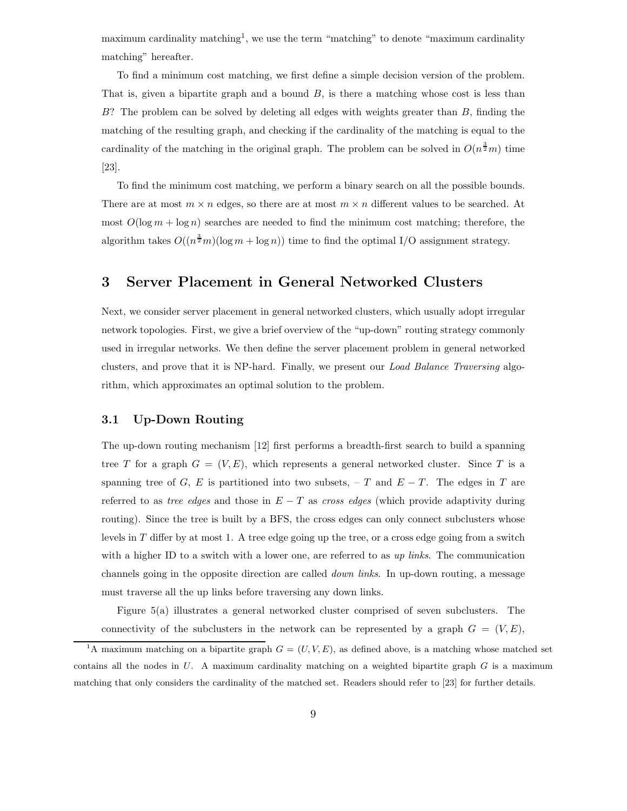maximum cardinality matching<sup>1</sup>, we use the term "matching" to denote "maximum cardinality matching" hereafter.

To find a minimum cost matching, we first define a simple decision version of the problem. That is, given a bipartite graph and a bound *B*, is there a matching whose cost is less than *B*? The problem can be solved by deleting all edges with weights greater than *B*, finding the matching of the resulting graph, and checking if the cardinality of the matching is equal to the cardinality of the matching in the original graph. The problem can be solved in  $O(n^{\frac{3}{2}}m)$  time [23].

To find the minimum cost matching, we perform a binary search on all the possible bounds. There are at most  $m \times n$  edges, so there are at most  $m \times n$  different values to be searched. At most  $O(\log m + \log n)$  searches are needed to find the minimum cost matching; therefore, the algorithm takes  $O((n^{\frac{3}{2}}m)(\log m + \log n))$  time to find the optimal I/O assignment strategy.

## **3 Server Placement in General Networked Clusters**

Next, we consider server placement in general networked clusters, which usually adopt irregular network topologies. First, we give a brief overview of the "up-down" routing strategy commonly used in irregular networks. We then define the server placement problem in general networked clusters, and prove that it is NP-hard. Finally, we present our *Load Balance Traversing* algorithm, which approximates an optimal solution to the problem.

## **3.1 Up-Down Routing**

The up-down routing mechanism [12] first performs a breadth-first search to build a spanning tree *T* for a graph  $G = (V, E)$ , which represents a general networked cluster. Since *T* is a spanning tree of *G*, *E* is partitioned into two subsets,  $-T$  and  $E-T$ . The edges in *T* are referred to as *tree edges* and those in *E* − *T* as *cross edges* (which provide adaptivity during routing). Since the tree is built by a BFS, the cross edges can only connect subclusters whose levels in *T* differ by at most 1. A tree edge going up the tree, or a cross edge going from a switch with a higher ID to a switch with a lower one, are referred to as *up links*. The communication channels going in the opposite direction are called *down links*. In up-down routing, a message must traverse all the up links before traversing any down links.

Figure 5(a) illustrates a general networked cluster comprised of seven subclusters. The connectivity of the subclusters in the network can be represented by a graph  $G = (V, E)$ ,

<sup>&</sup>lt;sup>1</sup>A maximum matching on a bipartite graph  $G = (U, V, E)$ , as defined above, is a matching whose matched set contains all the nodes in *U*. A maximum cardinality matching on a weighted bipartite graph *G* is a maximum matching that only considers the cardinality of the matched set. Readers should refer to [23] for further details.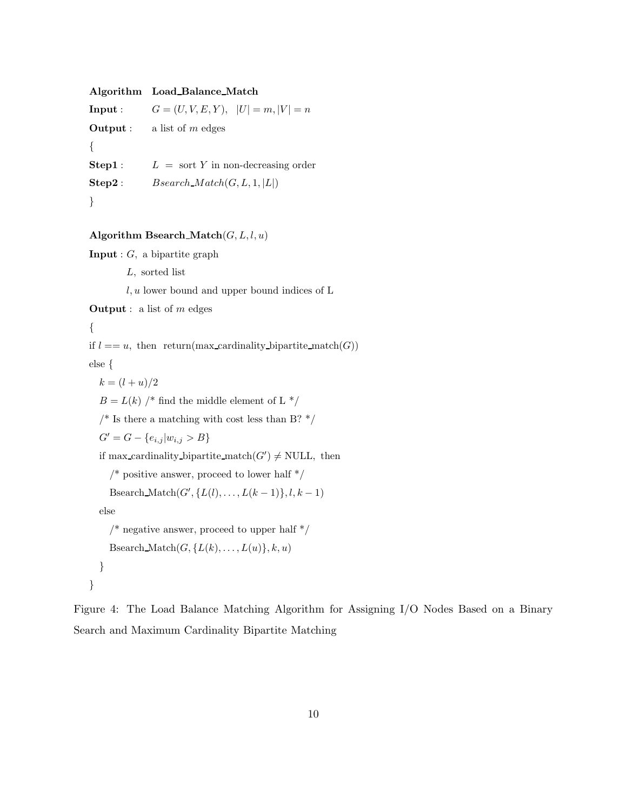```
Algorithm Load Balance Match
Input : G = (U, V, E, Y), |U| = m, |V| = nOutput : a list of m edges
{
Step1 : L = sort Y in non-decreasing order
Step2 : Bsearch_Match(G, L, 1, |L|)
}
```
## **Algorithm Bsearch Match**(*G, L, l, u*)

```
Input : G, a bipartite graph
```
*L,* sorted list

*l, u* lower bound and upper bound indices of L

**Output** : a list of *m* edges

```
{
```

```
if l == u, then return(max cardinality bipartite match(G))
```
else {

```
k = (l + u)/2B = L(k) /* find the middle element of L */
  \frac{1}{8} Is there a matching with cost less than B? */
   G' = G - \{e_{i,j}|w_{i,j} > B\}if max_cardinality_bipartite_match(G') \neq \text{NULL}, then
     \frac{1}{2} positive answer, proceed to lower half \frac{1}{2}Bsearch_Match(G', \{L(l),...,L(k-1)\}, l, k-1)else
     \frac{1}{2} negative answer, proceed to upper half \frac{1}{2}Bsearch Match(G, \{L(k), \ldots, L(u)\}, k, u)}
}
```
Figure 4: The Load Balance Matching Algorithm for Assigning I/O Nodes Based on a Binary Search and Maximum Cardinality Bipartite Matching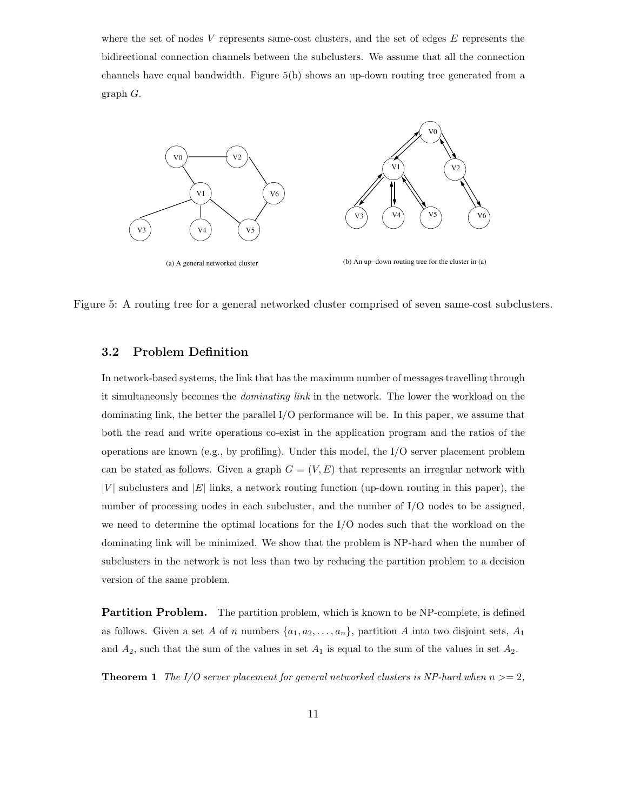where the set of nodes *V* represents same-cost clusters, and the set of edges *E* represents the bidirectional connection channels between the subclusters. We assume that all the connection channels have equal bandwidth. Figure 5(b) shows an up-down routing tree generated from a graph *G*.



Figure 5: A routing tree for a general networked cluster comprised of seven same-cost subclusters.

## **3.2 Problem Definition**

In network-based systems, the link that has the maximum number of messages travelling through it simultaneously becomes the *dominating link* in the network. The lower the workload on the dominating link, the better the parallel I/O performance will be. In this paper, we assume that both the read and write operations co-exist in the application program and the ratios of the operations are known (e.g., by profiling). Under this model, the I/O server placement problem can be stated as follows. Given a graph  $G = (V, E)$  that represents an irregular network with  $|V|$  subclusters and  $|E|$  links, a network routing function (up-down routing in this paper), the number of processing nodes in each subcluster, and the number of I/O nodes to be assigned, we need to determine the optimal locations for the I/O nodes such that the workload on the dominating link will be minimized. We show that the problem is NP-hard when the number of subclusters in the network is not less than two by reducing the partition problem to a decision version of the same problem.

**Partition Problem.** The partition problem, which is known to be NP-complete, is defined as follows. Given a set *A* of *n* numbers  $\{a_1, a_2, \ldots, a_n\}$ , partition *A* into two disjoint sets,  $A_1$ and  $A_2$ , such that the sum of the values in set  $A_1$  is equal to the sum of the values in set  $A_2$ .

**Theorem 1** *The I/O server placement for general networked clusters is NP-hard when*  $n >= 2$ ,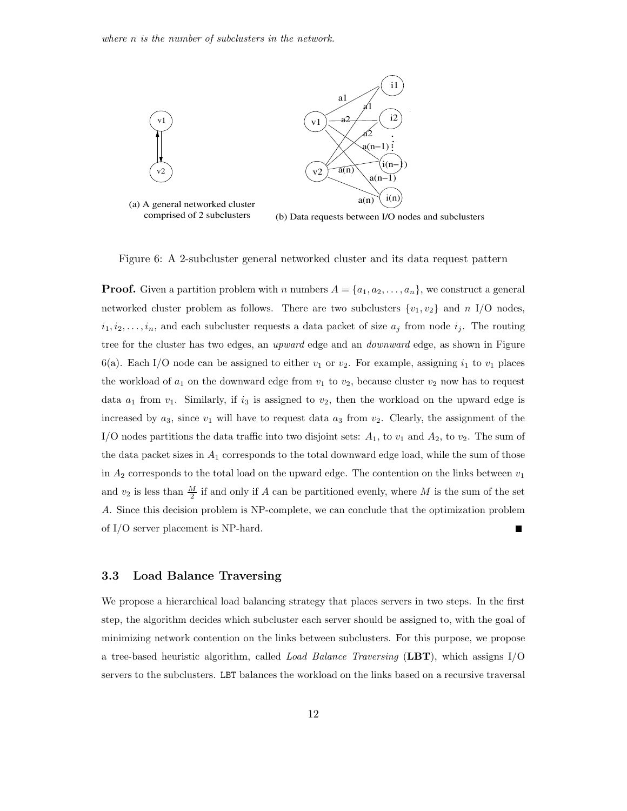

Figure 6: A 2-subcluster general networked cluster and its data request pattern

**Proof.** Given a partition problem with *n* numbers  $A = \{a_1, a_2, \ldots, a_n\}$ , we construct a general networked cluster problem as follows. There are two subclusters {*v*1*, v*2} and *n* I/O nodes,  $i_1, i_2, \ldots, i_n$ , and each subcluster requests a data packet of size  $a_j$  from node  $i_j$ . The routing tree for the cluster has two edges, an *upward* edge and an *downward* edge, as shown in Figure 6(a). Each I/O node can be assigned to either  $v_1$  or  $v_2$ . For example, assigning  $i_1$  to  $v_1$  places the workload of  $a_1$  on the downward edge from  $v_1$  to  $v_2$ , because cluster  $v_2$  now has to request data  $a_1$  from  $v_1$ . Similarly, if  $i_3$  is assigned to  $v_2$ , then the workload on the upward edge is increased by  $a_3$ , since  $v_1$  will have to request data  $a_3$  from  $v_2$ . Clearly, the assignment of the I/O nodes partitions the data traffic into two disjoint sets:  $A_1$ , to  $v_1$  and  $A_2$ , to  $v_2$ . The sum of the data packet sizes in *A*<sup>1</sup> corresponds to the total downward edge load, while the sum of those in  $A_2$  corresponds to the total load on the upward edge. The contention on the links between  $v_1$ and  $v_2$  is less than  $\frac{M}{2}$  if and only if *A* can be partitioned evenly, where *M* is the sum of the set *A*. Since this decision problem is NP-complete, we can conclude that the optimization problem of I/O server placement is NP-hard. ┓

## **3.3 Load Balance Traversing**

We propose a hierarchical load balancing strategy that places servers in two steps. In the first step, the algorithm decides which subcluster each server should be assigned to, with the goal of minimizing network contention on the links between subclusters. For this purpose, we propose a tree-based heuristic algorithm, called *Load Balance Traversing* (**LBT**), which assigns I/O servers to the subclusters. LBT balances the workload on the links based on a recursive traversal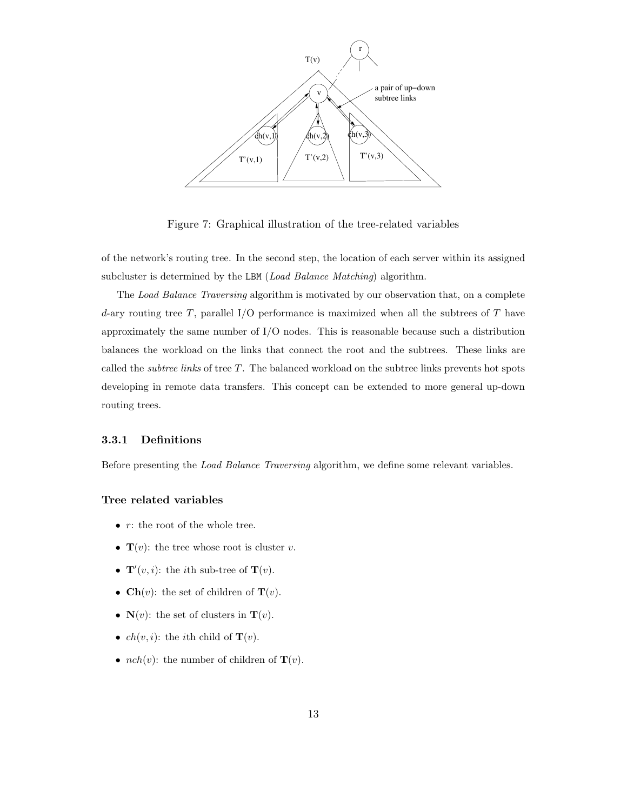

Figure 7: Graphical illustration of the tree-related variables

of the network's routing tree. In the second step, the location of each server within its assigned subcluster is determined by the LBM (*Load Balance Matching*) algorithm.

The *Load Balance Traversing* algorithm is motivated by our observation that, on a complete *d*-ary routing tree *T* , parallel I/O performance is maximized when all the subtrees of *T* have approximately the same number of I/O nodes. This is reasonable because such a distribution balances the workload on the links that connect the root and the subtrees. These links are called the *subtree links* of tree *T* . The balanced workload on the subtree links prevents hot spots developing in remote data transfers. This concept can be extended to more general up-down routing trees.

## **3.3.1 Definitions**

Before presenting the *Load Balance Traversing* algorithm, we define some relevant variables.

### **Tree related variables**

- *r*: the root of the whole tree.
- $\mathbf{T}(v)$ : the tree whose root is cluster *v*.
- $\mathbf{T}'(v, i)$ : the *i*th sub-tree of  $\mathbf{T}(v)$ .
- **Ch**(*v*): the set of children of **T**(*v*).
- $N(v)$ : the set of clusters in  $T(v)$ .
- $ch(v, i)$ : the *i*th child of **T**(*v*).
- *nch*(*v*): the number of children of  $\mathbf{T}(v)$ .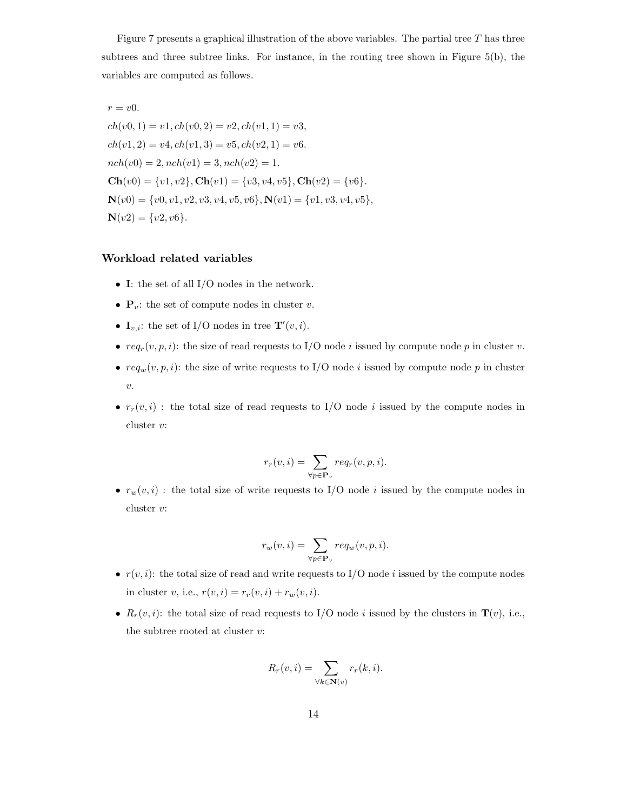Figure 7 presents a graphical illustration of the above variables. The partial tree *T* has three subtrees and three subtree links. For instance, in the routing tree shown in Figure 5(b), the variables are computed as follows.

$$
r = v0.
$$
  
\n
$$
ch(v0, 1) = v1, ch(v0, 2) = v2, ch(v1, 1) = v3,
$$
  
\n
$$
ch(v1, 2) = v4, ch(v1, 3) = v5, ch(v2, 1) = v6.
$$
  
\n
$$
nch(v0) = 2, nch(v1) = 3, nch(v2) = 1.
$$
  
\n
$$
Ch(v0) = \{v1, v2\}, Ch(v1) = \{v3, v4, v5\}, Ch(v2) = \{v6\}.
$$
  
\n
$$
N(v0) = \{v0, v1, v2, v3, v4, v5, v6\}, N(v1) = \{v1, v3, v4, v5\},
$$
  
\n
$$
N(v2) = \{v2, v6\}.
$$

## **Workload related variables**

- **I**: the set of all I/O nodes in the network.
- $P_v$ : the set of compute nodes in cluster *v*.
- $\mathbf{I}_{v,i}$ : the set of I/O nodes in tree  $\mathbf{T}'(v,i)$ .
- $req_r(v, p, i)$ : the size of read requests to I/O node *i* issued by compute node *p* in cluster *v*.
- $req_w(v, p, i)$ : the size of write requests to I/O node *i* issued by compute node *p* in cluster *v*.
- $r_r(v, i)$ : the total size of read requests to I/O node *i* issued by the compute nodes in cluster *v*:

$$
r_r(v, i) = \sum_{\forall p \in \mathbf{P}_v} req_r(v, p, i).
$$

•  $r_w(v, i)$ : the total size of write requests to I/O node *i* issued by the compute nodes in cluster *v*:

$$
r_w(v, i) = \sum_{\forall p \in \mathbf{P}_v} req_w(v, p, i).
$$

- $r(v, i)$ : the total size of read and write requests to I/O node *i* issued by the compute nodes in cluster *v*, i.e.,  $r(v, i) = r_r(v, i) + r_w(v, i)$ .
- $R_r(v, i)$ : the total size of read requests to I/O node *i* issued by the clusters in  $\mathbf{T}(v)$ , i.e., the subtree rooted at cluster *v*:

$$
R_r(v, i) = \sum_{\forall k \in \mathbf{N}(v)} r_r(k, i).
$$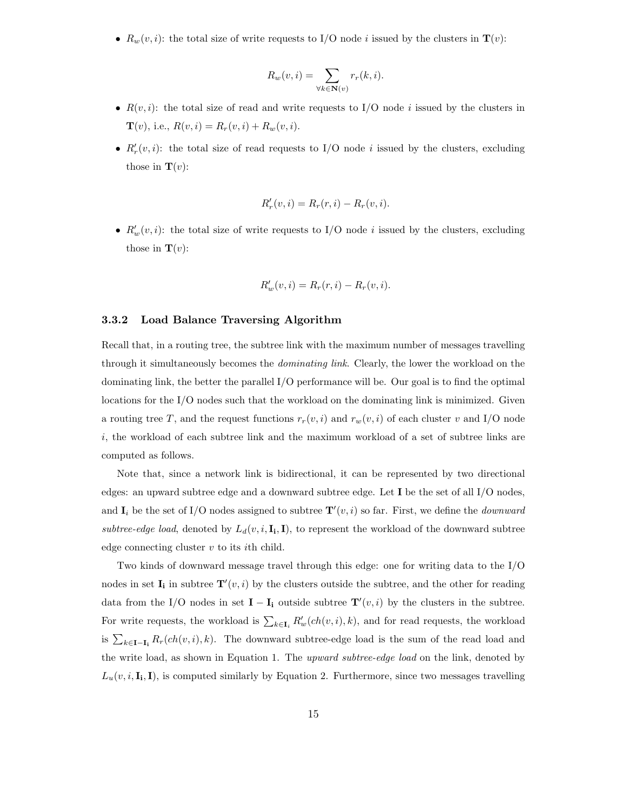•  $R_w(v, i)$ : the total size of write requests to I/O node *i* issued by the clusters in **T**(*v*):

$$
R_w(v, i) = \sum_{\forall k \in \mathbf{N}(v)} r_r(k, i).
$$

- $R(v, i)$ : the total size of read and write requests to I/O node *i* issued by the clusters in  $\mathbf{T}(v)$ , i.e.,  $R(v, i) = R_r(v, i) + R_w(v, i)$ .
- $R'_r(v, i)$ : the total size of read requests to I/O node *i* issued by the clusters, excluding those in  $\mathbf{T}(v)$ :

$$
R'_r(v,i) = R_r(r,i) - R_r(v,i).
$$

•  $R'_w(v, i)$ : the total size of write requests to I/O node *i* issued by the clusters, excluding those in  $\mathbf{T}(v)$ :

$$
R'_w(v, i) = R_r(r, i) - R_r(v, i).
$$

## **3.3.2 Load Balance Traversing Algorithm**

Recall that, in a routing tree, the subtree link with the maximum number of messages travelling through it simultaneously becomes the *dominating link*. Clearly, the lower the workload on the dominating link, the better the parallel I/O performance will be. Our goal is to find the optimal locations for the I/O nodes such that the workload on the dominating link is minimized. Given a routing tree *T*, and the request functions  $r_r(v, i)$  and  $r_w(v, i)$  of each cluster *v* and I/O node *i*, the workload of each subtree link and the maximum workload of a set of subtree links are computed as follows.

Note that, since a network link is bidirectional, it can be represented by two directional edges: an upward subtree edge and a downward subtree edge. Let **I** be the set of all I/O nodes, and  $\mathbf{I}_i$  be the set of I/O nodes assigned to subtree  $\mathbf{T}'(v, i)$  so far. First, we define the *downward subtree-edge load*, denoted by  $L_d(v, i, \mathbf{I_i}, \mathbf{I})$ , to represent the workload of the downward subtree edge connecting cluster *v* to its *i*th child.

Two kinds of downward message travel through this edge: one for writing data to the I/O nodes in set  $I_i$  in subtree  $T'(v, i)$  by the clusters outside the subtree, and the other for reading data from the I/O nodes in set  $I - I_i$  outside subtree  $T'(v, i)$  by the clusters in the subtree. For write requests, the workload is  $\sum_{k\in\mathbf{I}_i} R'_w(ch(v, i), k)$ , and for read requests, the workload is  $\sum_{k\in\mathbf{I}-\mathbf{I_i}} R_r(ch(v,i),k)$ . The downward subtree-edge load is the sum of the read load and the write load, as shown in Equation 1. The *upward subtree-edge load* on the link, denoted by  $L_u(v, i, I_i, I)$ , is computed similarly by Equation 2. Furthermore, since two messages travelling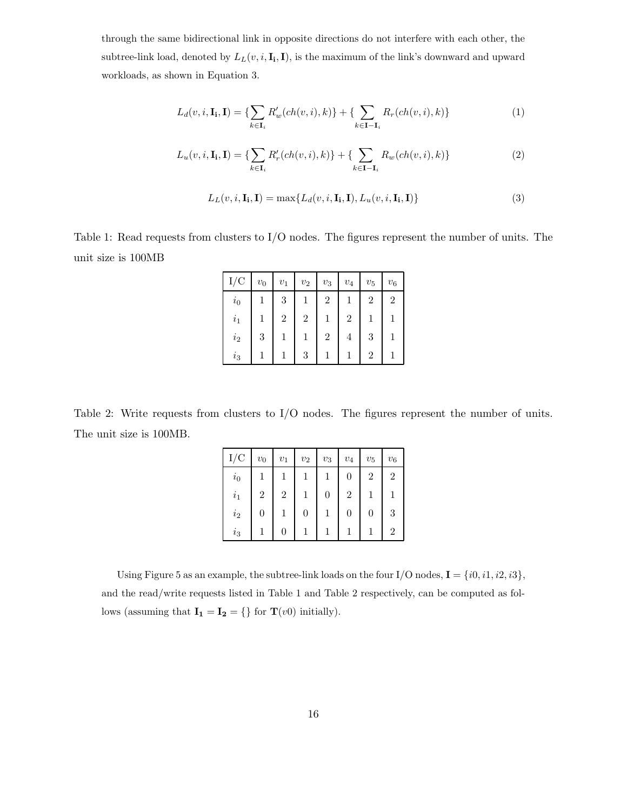through the same bidirectional link in opposite directions do not interfere with each other, the subtree-link load, denoted by  $L_L(v, i, I_i, I)$ , is the maximum of the link's downward and upward workloads, as shown in Equation 3.

$$
L_d(v, i, \mathbf{I_i}, \mathbf{I}) = \{ \sum_{k \in \mathbf{I_i}} R'_w(ch(v, i), k) \} + \{ \sum_{k \in \mathbf{I} - \mathbf{I_i}} R_r(ch(v, i), k) \}
$$
(1)

$$
L_u(v, i, \mathbf{I}_i, \mathbf{I}) = \{ \sum_{k \in \mathbf{I}_i} R'_r(ch(v, i), k) \} + \{ \sum_{k \in \mathbf{I} - \mathbf{I}_i} R_w(ch(v, i), k) \}
$$
(2)

$$
L_L(v, i, \mathbf{I_i}, \mathbf{I}) = \max\{L_d(v, i, \mathbf{I_i}, \mathbf{I}), L_u(v, i, \mathbf{I_i}, \mathbf{I})\}
$$
(3)

Table 1: Read requests from clusters to I/O nodes. The figures represent the number of units. The unit size is 100MB

| I/C   | $\upsilon_0$ | $v_1$          | $v_2$          | $v_3$          | $v_4$ | $v_5$ | $v_6$          |
|-------|--------------|----------------|----------------|----------------|-------|-------|----------------|
| $i_0$ |              | 3              |                | $\overline{2}$ |       | 2     | $\overline{2}$ |
| $i_1$ |              | $\overline{2}$ | $\overline{2}$ |                | 2     |       |                |
| $i_2$ | 3            |                |                | $\overline{2}$ | 4     | 3     |                |
| $i_3$ |              |                | 3              |                |       | 2     |                |

Table 2: Write requests from clusters to I/O nodes. The figures represent the number of units. The unit size is 100MB.

| I/C                | $\boldsymbol{v}_0$ | $\boldsymbol{v}_1$ | $\upsilon_2$ | $\boldsymbol{v}_3$ | $\boldsymbol{v}_4$ | $\boldsymbol{v}_5$ | $v_6$ |
|--------------------|--------------------|--------------------|--------------|--------------------|--------------------|--------------------|-------|
| $i_0$              |                    |                    |              |                    | 0                  | 2                  | 2     |
| $i_1$              | $\overline{2}$     | $\overline{2}$     |              | 0                  | $\overline{2}$     |                    |       |
| $\boldsymbol{i}_2$ | 0                  |                    | 0            |                    | 0                  | 0                  | 3     |
| $i_3$              |                    |                    |              |                    |                    |                    | 2     |

Using Figure 5 as an example, the subtree-link loads on the four I/O nodes,  $I = \{i0, i1, i2, i3\}$ , and the read/write requests listed in Table 1 and Table 2 respectively, can be computed as follows (assuming that  $\mathbf{I}_1 = \mathbf{I}_2 = \{\}\$  for  $\mathbf{T}(v0)$  initially).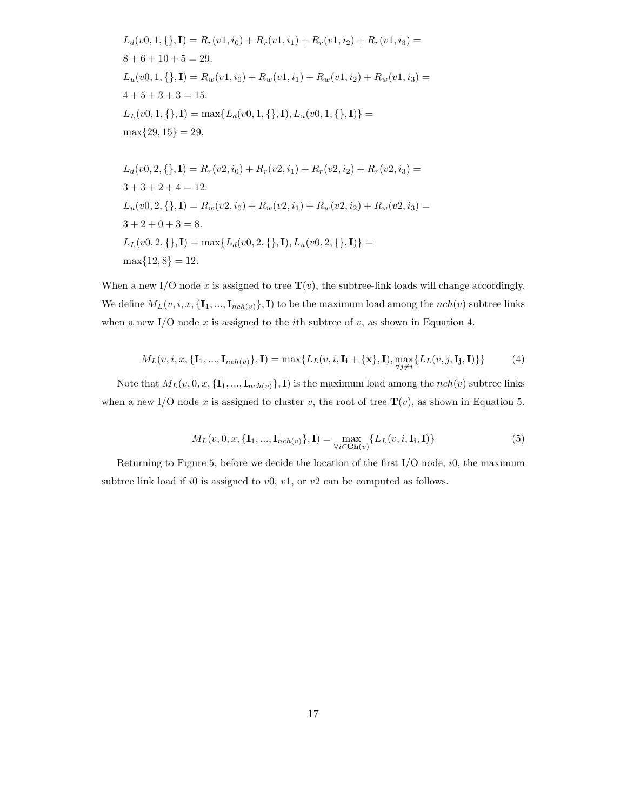$$
L_d(v0, 1, \{\}, \mathbf{I}) = R_r(v1, i_0) + R_r(v1, i_1) + R_r(v1, i_2) + R_r(v1, i_3) =
$$
  
\n
$$
8 + 6 + 10 + 5 = 29.
$$
  
\n
$$
L_u(v0, 1, \{\}, \mathbf{I}) = R_w(v1, i_0) + R_w(v1, i_1) + R_w(v1, i_2) + R_w(v1, i_3) =
$$
  
\n
$$
4 + 5 + 3 + 3 = 15.
$$
  
\n
$$
L_L(v0, 1, \{\}, \mathbf{I}) = \max\{L_d(v0, 1, \{\}, \mathbf{I}), L_u(v0, 1, \{\}, \mathbf{I})\} =
$$
  
\n
$$
\max\{29, 15\} = 29.
$$
  
\n
$$
L_d(v0, 2, \{\}, \mathbf{I}) = R_r(v2, i_0) + R_r(v2, i_1) + R_r(v2, i_2) + R_r(v2, i_3) =
$$
  
\n
$$
3 + 3 + 2 + 4 = 12.
$$
  
\n
$$
L_u(v0, 2, \{\}, \mathbf{I}) = R_w(v2, i_0) + R_w(v2, i_1) + R_w(v2, i_2) + R_w(v2, i_3) =
$$
  
\n
$$
3 + 2 + 0 + 3 = 8.
$$
  
\n
$$
L_L(v0, 2, \{\}, \mathbf{I}) = \max\{L_d(v0, 2, \{\}, \mathbf{I}), L_u(v0, 2, \{\}, \mathbf{I})\} =
$$

$$
\max\{12, 8\} = 12.
$$

When a new I/O node x is assigned to tree  $\mathbf{T}(v)$ , the subtree-link loads will change accordingly. We define  $M_L(v, i, x, {\{\mathbf{I}_1, ..., \mathbf{I}_{nch(v)}\}}, \mathbf{I})$  to be the maximum load among the  $nch(v)$  subtree links when a new I/O node *x* is assigned to the *i*th subtree of *v*, as shown in Equation 4.

$$
M_L(v, i, x, \{\mathbf{I}_1, ..., \mathbf{I}_{nch(v)}\}, \mathbf{I}) = \max\{L_L(v, i, \mathbf{I}_i + \{\mathbf{x}\}, \mathbf{I}), \max_{\forall j \neq i} \{L_L(v, j, \mathbf{I}_j, \mathbf{I})\}\}\
$$
(4)

Note that  $M_L(v, 0, x, {\{\mathbf{I}_1, ..., \mathbf{I}_{nch(v)}\}, \mathbf{I})}$  is the maximum load among the  $nch(v)$  subtree links when a new I/O node x is assigned to cluster v, the root of tree  $\mathbf{T}(v)$ , as shown in Equation 5.

$$
M_L(v, 0, x, \{\mathbf{I}_1, ..., \mathbf{I}_{nch(v)}\}, \mathbf{I}) = \max_{\forall i \in \mathbf{Ch}(v)} \{L_L(v, i, \mathbf{I}_i, \mathbf{I})\}
$$
(5)

Returning to Figure 5, before we decide the location of the first I/O node, *i*0, the maximum subtree link load if *i*0 is assigned to *v*0, *v*1, or *v*2 can be computed as follows.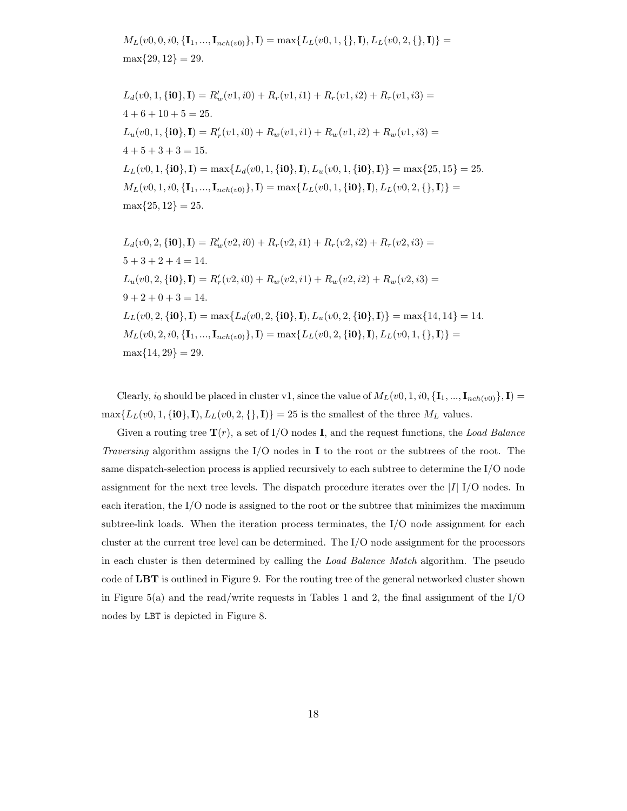$M_L(v0, 0, i0, {\{\mathbf{I}_1, ..., \mathbf{I}_{nch(v0)}\}}, \mathbf{I}) = \max\{L_L(v0, 1, {\{\}, \mathbf{I}), L_L(v0, 2, {\{\}, \mathbf{I})\}} =$  $max\{29, 12\} = 29.$ 

$$
L_d(v0, 1, \{\mathbf{i0}\}, \mathbf{I}) = R'_w(v1, i0) + R_r(v1, i1) + R_r(v1, i2) + R_r(v1, i3) =
$$
  
\n
$$
4 + 6 + 10 + 5 = 25.
$$
  
\n
$$
L_u(v0, 1, \{\mathbf{i0}\}, \mathbf{I}) = R'_r(v1, i0) + R_w(v1, i1) + R_w(v1, i2) + R_w(v1, i3) =
$$
  
\n
$$
4 + 5 + 3 + 3 = 15.
$$
  
\n
$$
L_L(v0, 1, \{\mathbf{i0}\}, \mathbf{I}) = \max\{L_d(v0, 1, \{\mathbf{i0}\}, \mathbf{I}), L_u(v0, 1, \{\mathbf{i0}\}, \mathbf{I})\} = \max\{25, 15\} = 25.
$$
  
\n
$$
M_L(v0, 1, i0, \{\mathbf{I}_1, ..., \mathbf{I}_{nch(v0)}\}, \mathbf{I}) = \max\{L_L(v0, 1, \{\mathbf{i0}\}, \mathbf{I}), L_L(v0, 2, \{\}, \mathbf{I})\} =
$$
  
\n
$$
\max\{25, 12\} = 25.
$$

$$
L_d(v0, 2, {\bf i}0), \mathbf{I}) = R'_w(v2, i0) + R_r(v2, i1) + R_r(v2, i2) + R_r(v2, i3) =
$$
  
\n
$$
5 + 3 + 2 + 4 = 14.
$$
  
\n
$$
L_u(v0, 2, {\bf i}0), \mathbf{I}) = R'_r(v2, i0) + R_w(v2, i1) + R_w(v2, i2) + R_w(v2, i3) =
$$
  
\n
$$
9 + 2 + 0 + 3 = 14.
$$
  
\n
$$
L_L(v0, 2, {\bf i}0), \mathbf{I}) = \max\{L_d(v0, 2, {\bf i}0), \mathbf{I}), L_u(v0, 2, {\bf i}0), \mathbf{I})\} = \max\{14, 14\} = 14.
$$
  
\n
$$
M_L(v0, 2, i0, {\bf I}_1, ..., {\bf I}_{nch(v0)}), \mathbf{I}) = \max\{L_L(v0, 2, {\bf i}0), \mathbf{I}), L_L(v0, 1, {\bf I}), \mathbf{I})\} =
$$
  
\n
$$
\max\{14, 29\} = 29.
$$

Clearly, *i*<sub>0</sub> should be placed in cluster v1, since the value of  $M_L(v0, 1, i0, {\{\mathbf{I}_1, ..., \mathbf{I}_{nch(v0)}\}}, \mathbf{I}) =$  $\max\{L_L(v0, 1, \{\mathbf{io}\}, \mathbf{I}), L_L(v0, 2, \{\}, \mathbf{I})\} = 25$  is the smallest of the three  $M_L$  values.

Given a routing tree **T**(*r*), a set of I/O nodes **I**, and the request functions, the *Load Balance Traversing* algorithm assigns the I/O nodes in **I** to the root or the subtrees of the root. The same dispatch-selection process is applied recursively to each subtree to determine the I/O node assignment for the next tree levels. The dispatch procedure iterates over the |*I*| I/O nodes. In each iteration, the I/O node is assigned to the root or the subtree that minimizes the maximum subtree-link loads. When the iteration process terminates, the I/O node assignment for each cluster at the current tree level can be determined. The I/O node assignment for the processors in each cluster is then determined by calling the *Load Balance Match* algorithm. The pseudo code of **LBT** is outlined in Figure 9. For the routing tree of the general networked cluster shown in Figure 5(a) and the read/write requests in Tables 1 and 2, the final assignment of the  $I/O$ nodes by LBT is depicted in Figure 8.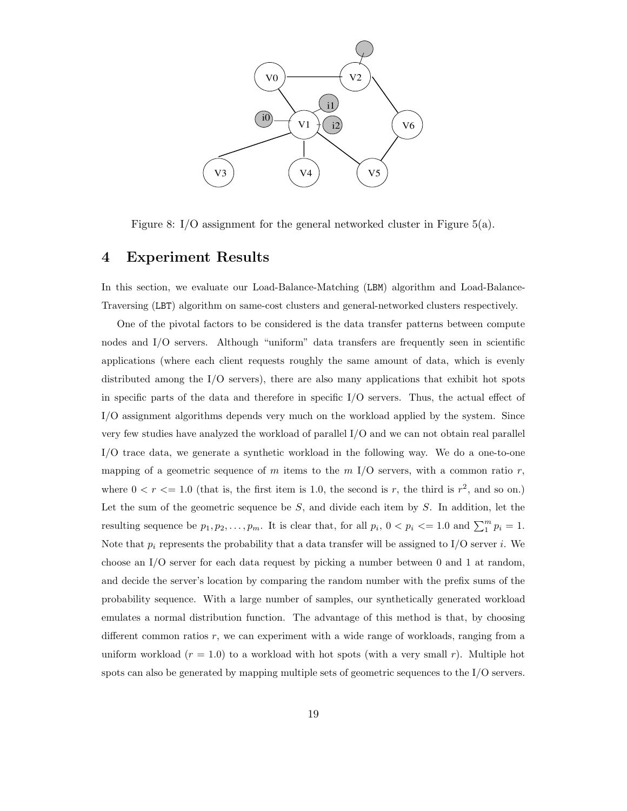

Figure 8: I/O assignment for the general networked cluster in Figure 5(a).

## **4 Experiment Results**

In this section, we evaluate our Load-Balance-Matching (LBM) algorithm and Load-Balance-Traversing (LBT) algorithm on same-cost clusters and general-networked clusters respectively.

One of the pivotal factors to be considered is the data transfer patterns between compute nodes and I/O servers. Although "uniform" data transfers are frequently seen in scientific applications (where each client requests roughly the same amount of data, which is evenly distributed among the I/O servers), there are also many applications that exhibit hot spots in specific parts of the data and therefore in specific I/O servers. Thus, the actual effect of I/O assignment algorithms depends very much on the workload applied by the system. Since very few studies have analyzed the workload of parallel I/O and we can not obtain real parallel I/O trace data, we generate a synthetic workload in the following way. We do a one-to-one mapping of a geometric sequence of *m* items to the *m* I/O servers, with a common ratio *r*, where  $0 < r < 1.0$  (that is, the first item is 1.0, the second is *r*, the third is  $r^2$ , and so on.) Let the sum of the geometric sequence be *S*, and divide each item by *S*. In addition, let the resulting sequence be  $p_1, p_2, \ldots, p_m$ . It is clear that, for all  $p_i$ ,  $0 < p_i \leq 1.0$  and  $\sum_{i=1}^{m} p_i = 1$ . Note that  $p_i$  represents the probability that a data transfer will be assigned to I/O server *i*. We choose an I/O server for each data request by picking a number between 0 and 1 at random, and decide the server's location by comparing the random number with the prefix sums of the probability sequence. With a large number of samples, our synthetically generated workload emulates a normal distribution function. The advantage of this method is that, by choosing different common ratios *r*, we can experiment with a wide range of workloads, ranging from a uniform workload  $(r = 1.0)$  to a workload with hot spots (with a very small *r*). Multiple hot spots can also be generated by mapping multiple sets of geometric sequences to the I/O servers.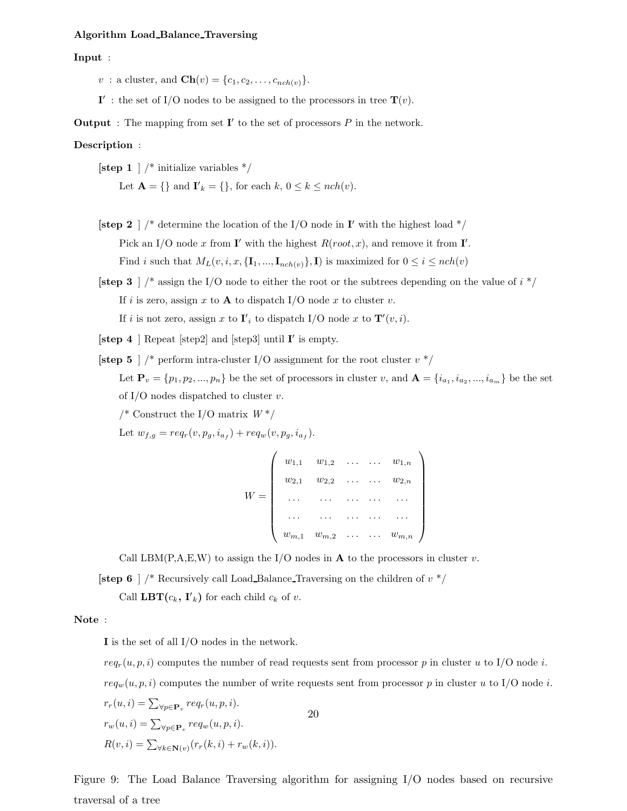#### **Algorithm Load Balance Traversing**

#### **Input** :

*v* : a cluster, and  $\text{Ch}(v) = \{c_1, c_2, \ldots, c_{nch(v)}\}.$ 

 $\mathbf{I}'$ : the set of I/O nodes to be assigned to the processors in tree  $\mathbf{T}(v)$ .

**Output** : The mapping from set  $I'$  to the set of processors  $P$  in the network.

#### **Description** :

**[step 1** ] /\* initialize variables \*/

Let  $\mathbf{A} = \{\}\$ and  $\mathbf{I}'_k = \{\},\$ for each  $k, 0 \leq k \leq nch(v)$ .

- **[step 2** ] /\* determine the location of the I/O node in **I**' with the highest load  $^*/$ Pick an I/O node x from **I'** with the highest  $R(root, x)$ , and remove it from **I'**. Find *i* such that  $M_L(v, i, x, {\mathbf{I}_1, ..., \mathbf{I}_{nch(v)}}$ , **I**) is maximized for  $0 \le i \le nch(v)$
- **[step 3** ] /\* assign the I/O node to either the root or the subtrees depending on the value of *i* \*/ If *i* is zero, assign *x* to **A** to dispatch I/O node *x* to cluster *v*.

If *i* is not zero, assign *x* to  $\mathbf{I}'_i$  to dispatch I/O node *x* to  $\mathbf{T}'(v, i)$ .

**[step 4** ] Repeat [step2] and [step3] until  $\mathbf{I}'$  is empty.

**[step 5** ] /\* perform intra-cluster I/O assignment for the root cluster  $v$  \*/ Let  $\mathbf{P}_v = \{p_1, p_2, ..., p_n\}$  be the set of processors in cluster *v*, and  $\mathbf{A} = \{i_{a_1}, i_{a_2}, ..., i_{a_m}\}$  be the set of I/O nodes dispatched to cluster *v*.

/\* Construct the I/O matrix *W* \*/

Let  $w_{f,g} = req_r(v, p_g, i_{a_f}) + req_w(v, p_g, i_{a_f}).$ 

$$
W = \left(\begin{array}{cccc} w_{1,1} & w_{1,2} & \dots & \dots & w_{1,n} \\ w_{2,1} & w_{2,2} & \dots & \dots & w_{2,n} \\ \dots & \dots & \dots & \dots & \dots \\ \dots & \dots & \dots & \dots & \dots \\ w_{m,1} & w_{m,2} & \dots & \dots & w_{m,n} \end{array}\right)
$$

Call LBM(P,A,E,W) to assign the I/O nodes in **A** to the processors in cluster  $v$ .

**[step 6** ] /\* Recursively call Load Balance Traversing on the children of *v* \*/

Call  $\text{LBT}(c_k, \mathbf{I}'_k)$  for each child  $c_k$  of  $v$ .

#### **Note** :

**I** is the set of all I/O nodes in the network.

 $req<sub>r</sub>(u, p, i)$  computes the number of read requests sent from processor *p* in cluster *u* to I/O node *i*.

 $req_w(u, p, i)$  computes the number of write requests sent from processor *p* in cluster *u* to I/O node *i*.

$$
r_r(u, i) = \sum_{\forall p \in \mathbf{P}_v} req_r(u, p, i).
$$
  
\n
$$
r_w(u, i) = \sum_{\forall p \in \mathbf{P}_v} req_w(u, p, i).
$$
  
\n
$$
R(v, i) = \sum_{\forall k \in \mathbf{N}(v)} (r_r(k, i) + r_w(k, i)).
$$

Figure 9: The Load Balance Traversing algorithm for assigning I/O nodes based on recursive traversal of a tree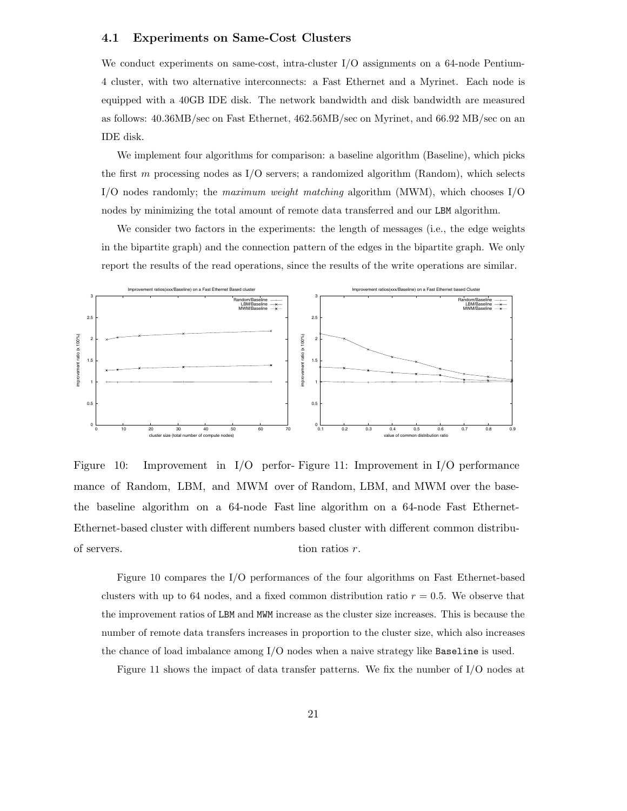## **4.1 Experiments on Same-Cost Clusters**

We conduct experiments on same-cost, intra-cluster I/O assignments on a 64-node Pentium-4 cluster, with two alternative interconnects: a Fast Ethernet and a Myrinet. Each node is equipped with a 40GB IDE disk. The network bandwidth and disk bandwidth are measured as follows: 40.36MB/sec on Fast Ethernet, 462.56MB/sec on Myrinet, and 66.92 MB/sec on an IDE disk.

We implement four algorithms for comparison: a baseline algorithm (Baseline), which picks the first *m* processing nodes as I/O servers; a randomized algorithm (Random), which selects I/O nodes randomly; the *maximum weight matching* algorithm (MWM), which chooses I/O nodes by minimizing the total amount of remote data transferred and our LBM algorithm.

We consider two factors in the experiments: the length of messages (i.e., the edge weights in the bipartite graph) and the connection pattern of the edges in the bipartite graph. We only report the results of the read operations, since the results of the write operations are similar.



Figure 10: Improvement in I/O perfor-Figure 11: Improvement in I/O performance mance of Random, LBM, and MWM over of Random, LBM, and MWM over the basethe baseline algorithm on a 64-node Fast line algorithm on a 64-node Fast Ethernet-Ethernet-based cluster with different numbers based cluster with different common distribuof servers. tion ratios *r*.

Figure 10 compares the I/O performances of the four algorithms on Fast Ethernet-based clusters with up to 64 nodes, and a fixed common distribution ratio  $r = 0.5$ . We observe that the improvement ratios of LBM and MWM increase as the cluster size increases. This is because the number of remote data transfers increases in proportion to the cluster size, which also increases the chance of load imbalance among I/O nodes when a naive strategy like Baseline is used.

Figure 11 shows the impact of data transfer patterns. We fix the number of I/O nodes at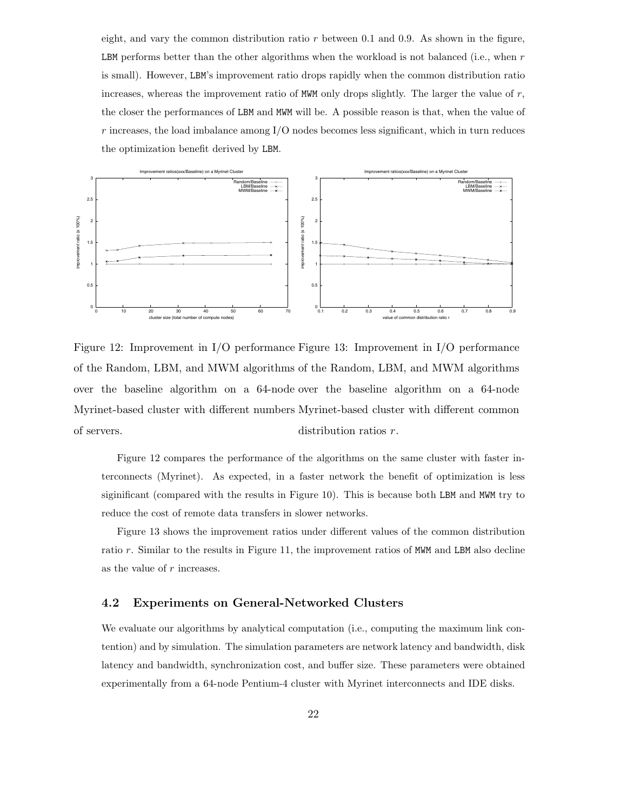eight, and vary the common distribution ratio  $r$  between 0.1 and 0.9. As shown in the figure, LBM performs better than the other algorithms when the workload is not balanced (i.e., when r is small). However, LBM's improvement ratio drops rapidly when the common distribution ratio increases, whereas the improvement ratio of MWM only drops slightly. The larger the value of *r*, the closer the performances of LBM and MWM will be. A possible reason is that, when the value of  $r$  increases, the load imbalance among  $I/O$  nodes becomes less significant, which in turn reduces the optimization benefit derived by LBM.



Figure 12: Improvement in I/O performance Figure 13: Improvement in I/O performance of the Random, LBM, and MWM algorithms of the Random, LBM, and MWM algorithms over the baseline algorithm on a 64-node over the baseline algorithm on a 64-node Myrinet-based cluster with different numbers Myrinet-based cluster with different common of servers. distribution ratios *r*.

Figure 12 compares the performance of the algorithms on the same cluster with faster interconnects (Myrinet). As expected, in a faster network the benefit of optimization is less siginificant (compared with the results in Figure 10). This is because both LBM and MWM try to reduce the cost of remote data transfers in slower networks.

Figure 13 shows the improvement ratios under different values of the common distribution ratio *r*. Similar to the results in Figure 11, the improvement ratios of MWM and LBM also decline as the value of *r* increases.

## **4.2 Experiments on General-Networked Clusters**

We evaluate our algorithms by analytical computation (i.e., computing the maximum link contention) and by simulation. The simulation parameters are network latency and bandwidth, disk latency and bandwidth, synchronization cost, and buffer size. These parameters were obtained experimentally from a 64-node Pentium-4 cluster with Myrinet interconnects and IDE disks.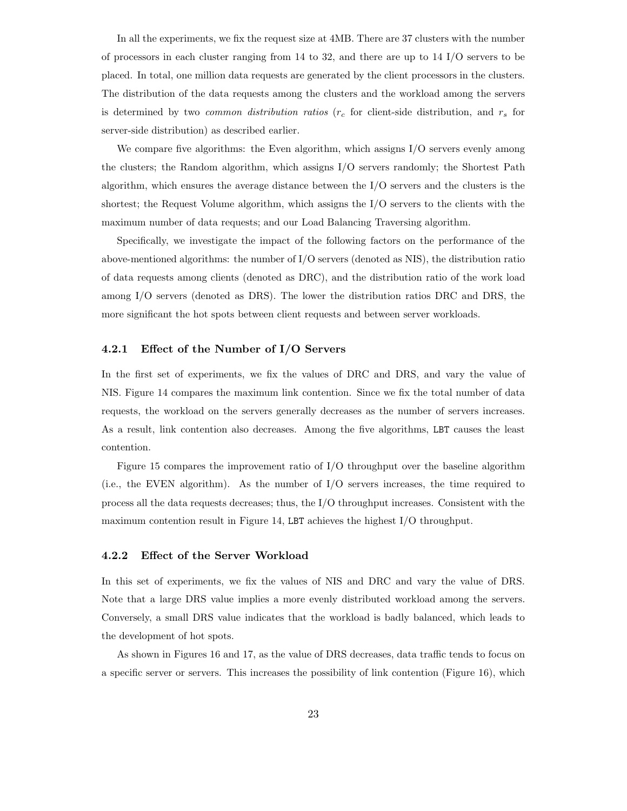In all the experiments, we fix the request size at 4MB. There are 37 clusters with the number of processors in each cluster ranging from 14 to 32, and there are up to 14 I/O servers to be placed. In total, one million data requests are generated by the client processors in the clusters. The distribution of the data requests among the clusters and the workload among the servers is determined by two *common distribution ratios* (*r<sup>c</sup>* for client-side distribution, and *r<sup>s</sup>* for server-side distribution) as described earlier.

We compare five algorithms: the Even algorithm, which assigns I/O servers evenly among the clusters; the Random algorithm, which assigns I/O servers randomly; the Shortest Path algorithm, which ensures the average distance between the I/O servers and the clusters is the shortest; the Request Volume algorithm, which assigns the I/O servers to the clients with the maximum number of data requests; and our Load Balancing Traversing algorithm.

Specifically, we investigate the impact of the following factors on the performance of the above-mentioned algorithms: the number of I/O servers (denoted as NIS), the distribution ratio of data requests among clients (denoted as DRC), and the distribution ratio of the work load among I/O servers (denoted as DRS). The lower the distribution ratios DRC and DRS, the more significant the hot spots between client requests and between server workloads.

## **4.2.1 Effect of the Number of I/O Servers**

In the first set of experiments, we fix the values of DRC and DRS, and vary the value of NIS. Figure 14 compares the maximum link contention. Since we fix the total number of data requests, the workload on the servers generally decreases as the number of servers increases. As a result, link contention also decreases. Among the five algorithms, LBT causes the least contention.

Figure 15 compares the improvement ratio of I/O throughput over the baseline algorithm (i.e., the EVEN algorithm). As the number of I/O servers increases, the time required to process all the data requests decreases; thus, the I/O throughput increases. Consistent with the maximum contention result in Figure 14, LBT achieves the highest I/O throughput.

## **4.2.2 Effect of the Server Workload**

In this set of experiments, we fix the values of NIS and DRC and vary the value of DRS. Note that a large DRS value implies a more evenly distributed workload among the servers. Conversely, a small DRS value indicates that the workload is badly balanced, which leads to the development of hot spots.

As shown in Figures 16 and 17, as the value of DRS decreases, data traffic tends to focus on a specific server or servers. This increases the possibility of link contention (Figure 16), which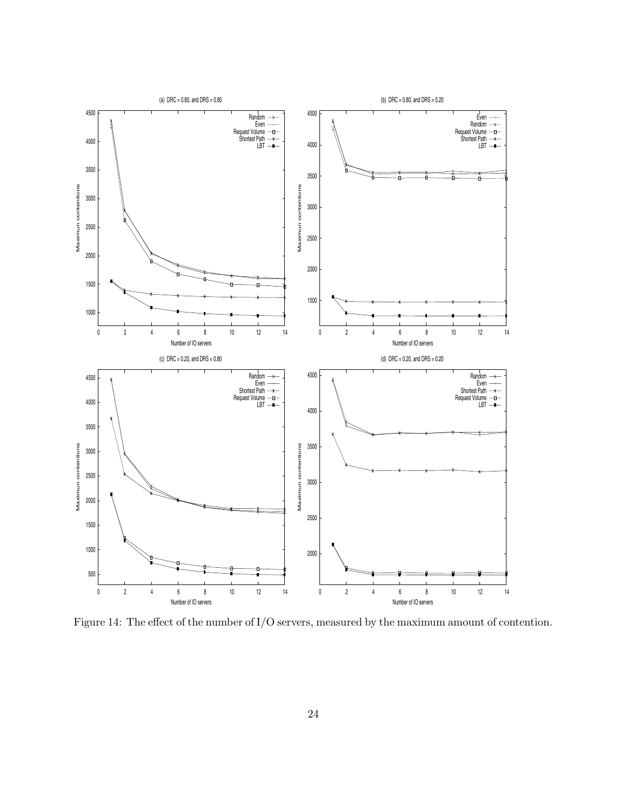

Figure 14: The effect of the number of I/O servers, measured by the maximum amount of contention.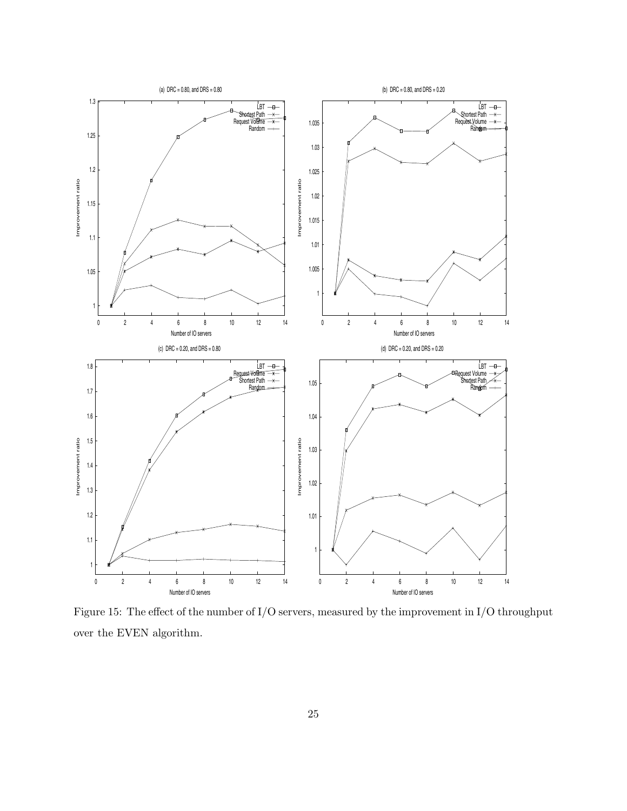

Figure 15: The effect of the number of I/O servers, measured by the improvement in I/O throughput over the EVEN algorithm.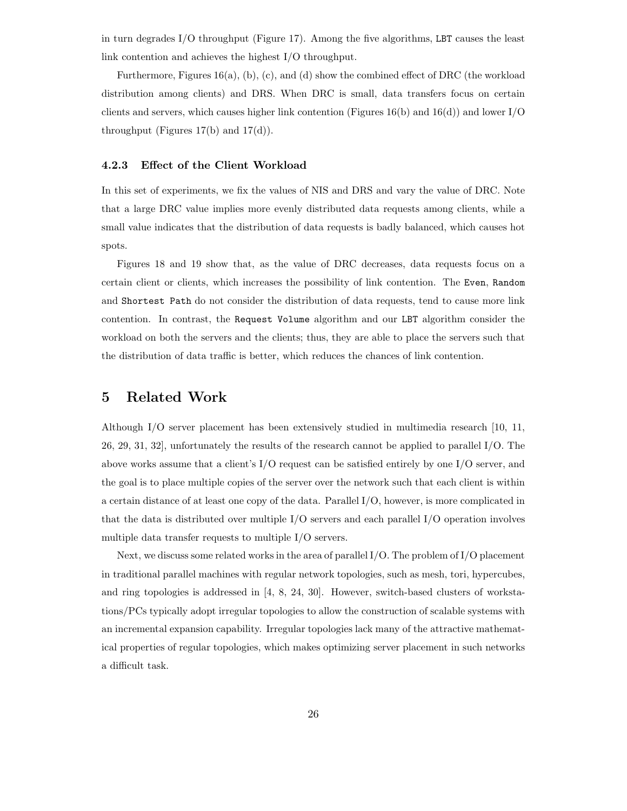in turn degrades I/O throughput (Figure 17). Among the five algorithms, LBT causes the least link contention and achieves the highest I/O throughput.

Furthermore, Figures 16(a), (b), (c), and (d) show the combined effect of DRC (the workload distribution among clients) and DRS. When DRC is small, data transfers focus on certain clients and servers, which causes higher link contention (Figures 16(b) and 16(d)) and lower  $I/O$ throughput (Figures  $17(b)$  and  $17(d)$ ).

## **4.2.3 Effect of the Client Workload**

In this set of experiments, we fix the values of NIS and DRS and vary the value of DRC. Note that a large DRC value implies more evenly distributed data requests among clients, while a small value indicates that the distribution of data requests is badly balanced, which causes hot spots.

Figures 18 and 19 show that, as the value of DRC decreases, data requests focus on a certain client or clients, which increases the possibility of link contention. The Even, Random and Shortest Path do not consider the distribution of data requests, tend to cause more link contention. In contrast, the Request Volume algorithm and our LBT algorithm consider the workload on both the servers and the clients; thus, they are able to place the servers such that the distribution of data traffic is better, which reduces the chances of link contention.

## **5 Related Work**

Although I/O server placement has been extensively studied in multimedia research [10, 11, 26, 29, 31, 32], unfortunately the results of the research cannot be applied to parallel I/O. The above works assume that a client's I/O request can be satisfied entirely by one I/O server, and the goal is to place multiple copies of the server over the network such that each client is within a certain distance of at least one copy of the data. Parallel I/O, however, is more complicated in that the data is distributed over multiple I/O servers and each parallel I/O operation involves multiple data transfer requests to multiple I/O servers.

Next, we discuss some related works in the area of parallel I/O. The problem of I/O placement in traditional parallel machines with regular network topologies, such as mesh, tori, hypercubes, and ring topologies is addressed in [4, 8, 24, 30]. However, switch-based clusters of workstations/PCs typically adopt irregular topologies to allow the construction of scalable systems with an incremental expansion capability. Irregular topologies lack many of the attractive mathematical properties of regular topologies, which makes optimizing server placement in such networks a difficult task.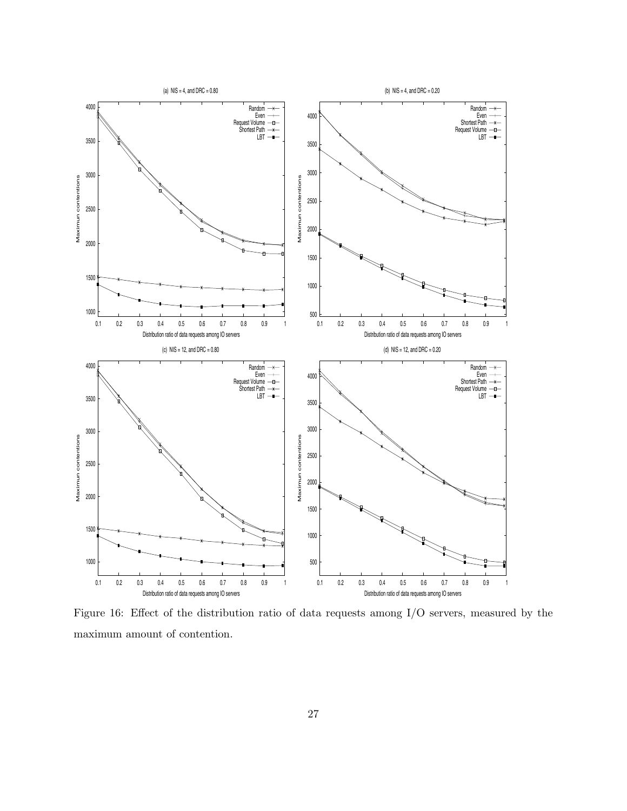![](_page_27_Figure_0.jpeg)

Figure 16: Effect of the distribution ratio of data requests among I/O servers, measured by the maximum amount of contention.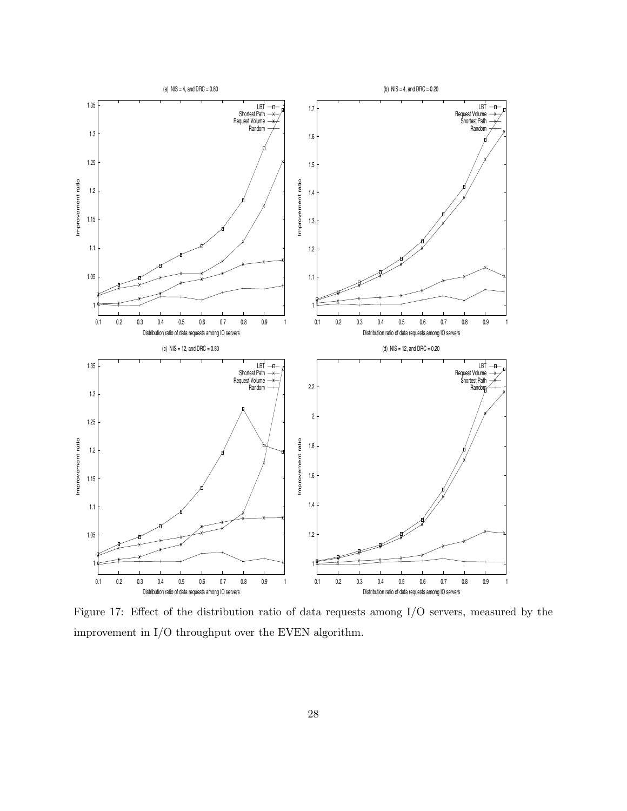![](_page_28_Figure_0.jpeg)

Figure 17: Effect of the distribution ratio of data requests among I/O servers, measured by the improvement in I/O throughput over the EVEN algorithm.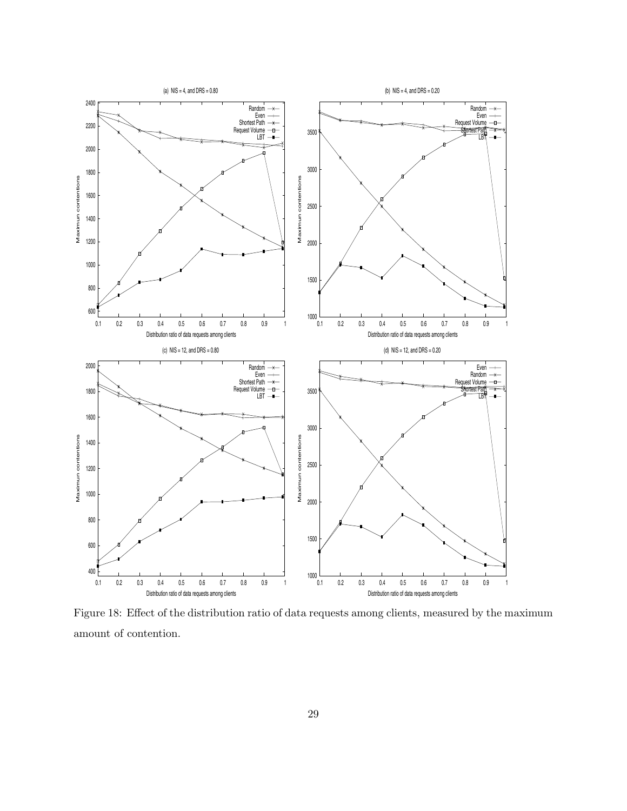![](_page_29_Figure_0.jpeg)

Figure 18: Effect of the distribution ratio of data requests among clients, measured by the maximum amount of contention.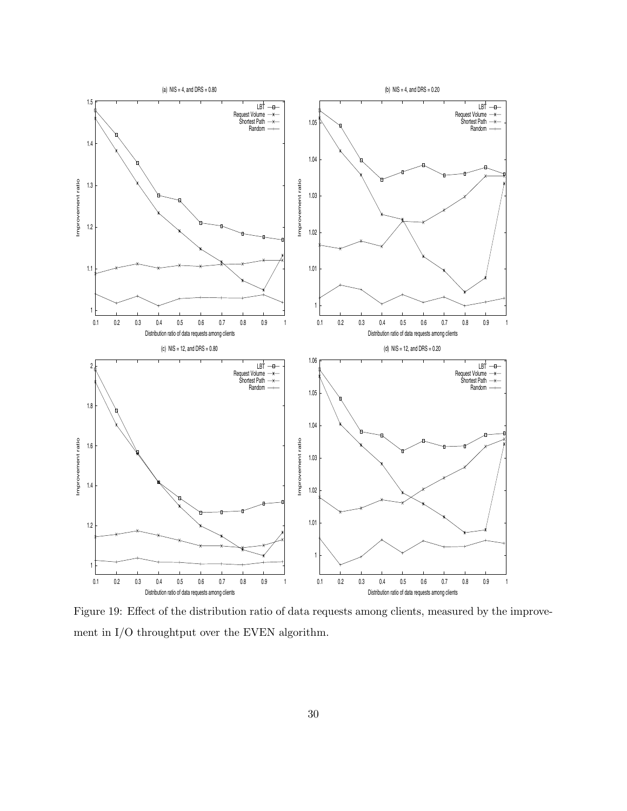![](_page_30_Figure_0.jpeg)

Figure 19: Effect of the distribution ratio of data requests among clients, measured by the improvement in I/O throughtput over the EVEN algorithm.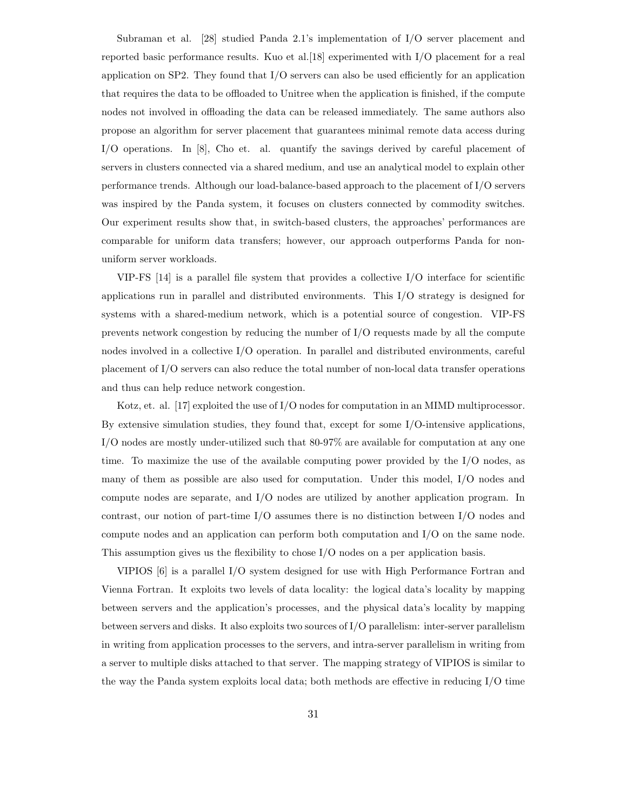Subraman et al. [28] studied Panda 2.1's implementation of I/O server placement and reported basic performance results. Kuo et al.[18] experimented with I/O placement for a real application on SP2. They found that I/O servers can also be used efficiently for an application that requires the data to be offloaded to Unitree when the application is finished, if the compute nodes not involved in offloading the data can be released immediately. The same authors also propose an algorithm for server placement that guarantees minimal remote data access during I/O operations. In [8], Cho et. al. quantify the savings derived by careful placement of servers in clusters connected via a shared medium, and use an analytical model to explain other performance trends. Although our load-balance-based approach to the placement of I/O servers was inspired by the Panda system, it focuses on clusters connected by commodity switches. Our experiment results show that, in switch-based clusters, the approaches' performances are comparable for uniform data transfers; however, our approach outperforms Panda for nonuniform server workloads.

VIP-FS  $[14]$  is a parallel file system that provides a collective I/O interface for scientific applications run in parallel and distributed environments. This I/O strategy is designed for systems with a shared-medium network, which is a potential source of congestion. VIP-FS prevents network congestion by reducing the number of I/O requests made by all the compute nodes involved in a collective I/O operation. In parallel and distributed environments, careful placement of I/O servers can also reduce the total number of non-local data transfer operations and thus can help reduce network congestion.

Kotz, et. al. [17] exploited the use of I/O nodes for computation in an MIMD multiprocessor. By extensive simulation studies, they found that, except for some I/O-intensive applications, I/O nodes are mostly under-utilized such that 80-97% are available for computation at any one time. To maximize the use of the available computing power provided by the I/O nodes, as many of them as possible are also used for computation. Under this model, I/O nodes and compute nodes are separate, and I/O nodes are utilized by another application program. In contrast, our notion of part-time I/O assumes there is no distinction between I/O nodes and compute nodes and an application can perform both computation and I/O on the same node. This assumption gives us the flexibility to chose I/O nodes on a per application basis.

VIPIOS [6] is a parallel I/O system designed for use with High Performance Fortran and Vienna Fortran. It exploits two levels of data locality: the logical data's locality by mapping between servers and the application's processes, and the physical data's locality by mapping between servers and disks. It also exploits two sources of I/O parallelism: inter-server parallelism in writing from application processes to the servers, and intra-server parallelism in writing from a server to multiple disks attached to that server. The mapping strategy of VIPIOS is similar to the way the Panda system exploits local data; both methods are effective in reducing I/O time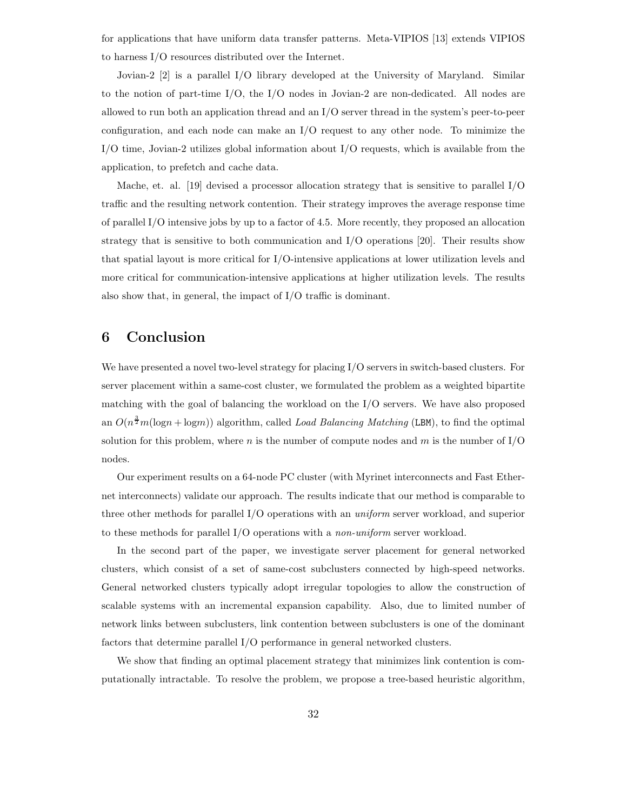for applications that have uniform data transfer patterns. Meta-VIPIOS [13] extends VIPIOS to harness I/O resources distributed over the Internet.

Jovian-2 [2] is a parallel I/O library developed at the University of Maryland. Similar to the notion of part-time I/O, the I/O nodes in Jovian-2 are non-dedicated. All nodes are allowed to run both an application thread and an I/O server thread in the system's peer-to-peer configuration, and each node can make an  $I/O$  request to any other node. To minimize the I/O time, Jovian-2 utilizes global information about I/O requests, which is available from the application, to prefetch and cache data.

Mache, et. al. [19] devised a processor allocation strategy that is sensitive to parallel I/O traffic and the resulting network contention. Their strategy improves the average response time of parallel I/O intensive jobs by up to a factor of 4.5. More recently, they proposed an allocation strategy that is sensitive to both communication and I/O operations [20]. Their results show that spatial layout is more critical for I/O-intensive applications at lower utilization levels and more critical for communication-intensive applications at higher utilization levels. The results also show that, in general, the impact of I/O traffic is dominant.

# **6 Conclusion**

We have presented a novel two-level strategy for placing I/O servers in switch-based clusters. For server placement within a same-cost cluster, we formulated the problem as a weighted bipartite matching with the goal of balancing the workload on the I/O servers. We have also proposed an  $O(n^{\frac{3}{2}}m(\log n + \log m))$  algorithm, called *Load Balancing Matching* (LBM), to find the optimal solution for this problem, where *n* is the number of compute nodes and *m* is the number of I/O nodes.

Our experiment results on a 64-node PC cluster (with Myrinet interconnects and Fast Ethernet interconnects) validate our approach. The results indicate that our method is comparable to three other methods for parallel I/O operations with an *uniform* server workload, and superior to these methods for parallel I/O operations with a *non-uniform* server workload.

In the second part of the paper, we investigate server placement for general networked clusters, which consist of a set of same-cost subclusters connected by high-speed networks. General networked clusters typically adopt irregular topologies to allow the construction of scalable systems with an incremental expansion capability. Also, due to limited number of network links between subclusters, link contention between subclusters is one of the dominant factors that determine parallel I/O performance in general networked clusters.

We show that finding an optimal placement strategy that minimizes link contention is computationally intractable. To resolve the problem, we propose a tree-based heuristic algorithm,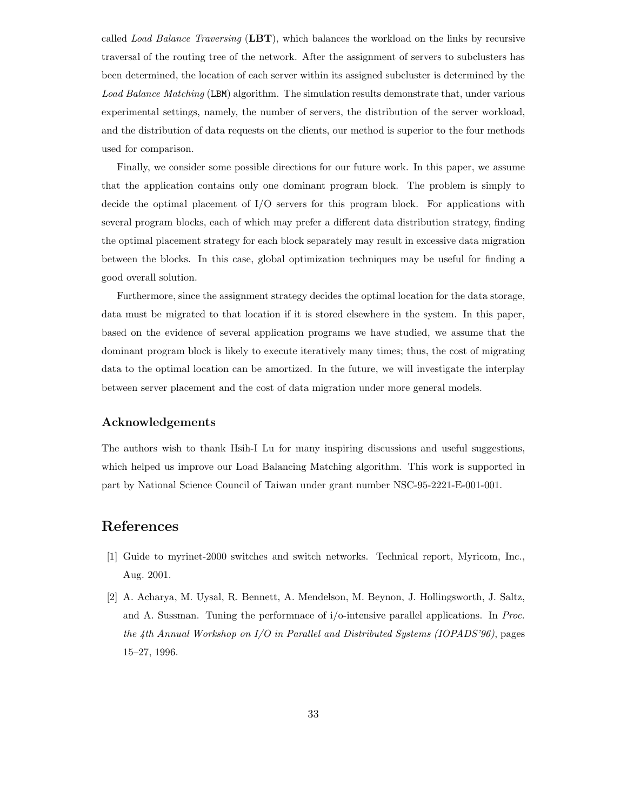called *Load Balance Traversing* (**LBT**), which balances the workload on the links by recursive traversal of the routing tree of the network. After the assignment of servers to subclusters has been determined, the location of each server within its assigned subcluster is determined by the *Load Balance Matching* (LBM) algorithm. The simulation results demonstrate that, under various experimental settings, namely, the number of servers, the distribution of the server workload, and the distribution of data requests on the clients, our method is superior to the four methods used for comparison.

Finally, we consider some possible directions for our future work. In this paper, we assume that the application contains only one dominant program block. The problem is simply to decide the optimal placement of I/O servers for this program block. For applications with several program blocks, each of which may prefer a different data distribution strategy, finding the optimal placement strategy for each block separately may result in excessive data migration between the blocks. In this case, global optimization techniques may be useful for finding a good overall solution.

Furthermore, since the assignment strategy decides the optimal location for the data storage, data must be migrated to that location if it is stored elsewhere in the system. In this paper, based on the evidence of several application programs we have studied, we assume that the dominant program block is likely to execute iteratively many times; thus, the cost of migrating data to the optimal location can be amortized. In the future, we will investigate the interplay between server placement and the cost of data migration under more general models.

## **Acknowledgements**

The authors wish to thank Hsih-I Lu for many inspiring discussions and useful suggestions, which helped us improve our Load Balancing Matching algorithm. This work is supported in part by National Science Council of Taiwan under grant number NSC-95-2221-E-001-001.

## **References**

- [1] Guide to myrinet-2000 switches and switch networks. Technical report, Myricom, Inc., Aug. 2001.
- [2] A. Acharya, M. Uysal, R. Bennett, A. Mendelson, M. Beynon, J. Hollingsworth, J. Saltz, and A. Sussman. Tuning the performnace of i/o-intensive parallel applications. In *Proc. the 4th Annual Workshop on I/O in Parallel and Distributed Systems (IOPADS'96)*, pages 15–27, 1996.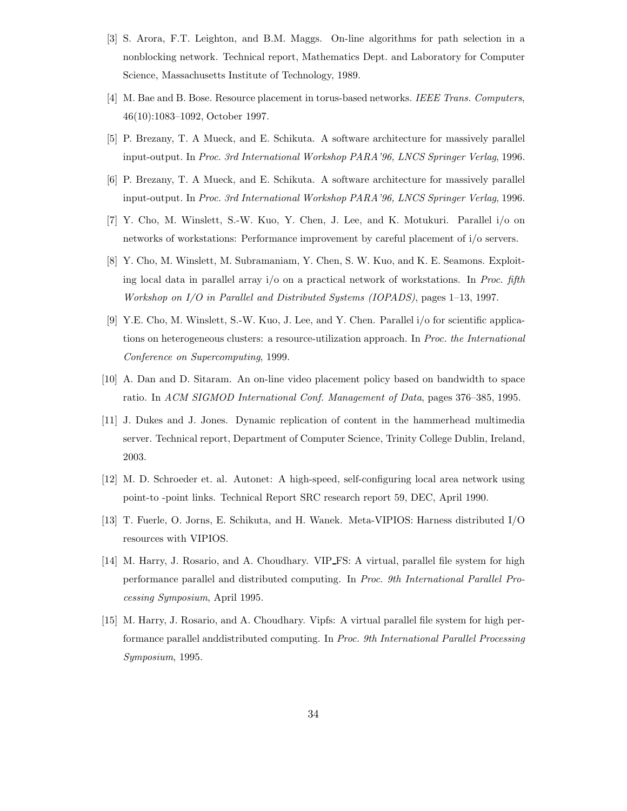- [3] S. Arora, F.T. Leighton, and B.M. Maggs. On-line algorithms for path selection in a nonblocking network. Technical report, Mathematics Dept. and Laboratory for Computer Science, Massachusetts Institute of Technology, 1989.
- [4] M. Bae and B. Bose. Resource placement in torus-based networks. *IEEE Trans. Computers*, 46(10):1083–1092, October 1997.
- [5] P. Brezany, T. A Mueck, and E. Schikuta. A software architecture for massively parallel input-output. In *Proc. 3rd International Workshop PARA'96, LNCS Springer Verlag*, 1996.
- [6] P. Brezany, T. A Mueck, and E. Schikuta. A software architecture for massively parallel input-output. In *Proc. 3rd International Workshop PARA'96, LNCS Springer Verlag*, 1996.
- [7] Y. Cho, M. Winslett, S.-W. Kuo, Y. Chen, J. Lee, and K. Motukuri. Parallel i/o on networks of workstations: Performance improvement by careful placement of i/o servers.
- [8] Y. Cho, M. Winslett, M. Subramaniam, Y. Chen, S. W. Kuo, and K. E. Seamons. Exploiting local data in parallel array i/o on a practical network of workstations. In *Proc. fifth Workshop on I/O in Parallel and Distributed Systems (IOPADS)*, pages 1–13, 1997.
- [9] Y.E. Cho, M. Winslett, S.-W. Kuo, J. Lee, and Y. Chen. Parallel i/o for scientific applications on heterogeneous clusters: a resource-utilization approach. In *Proc. the International Conference on Supercomputing*, 1999.
- [10] A. Dan and D. Sitaram. An on-line video placement policy based on bandwidth to space ratio. In *ACM SIGMOD International Conf. Management of Data*, pages 376–385, 1995.
- [11] J. Dukes and J. Jones. Dynamic replication of content in the hammerhead multimedia server. Technical report, Department of Computer Science, Trinity College Dublin, Ireland, 2003.
- [12] M. D. Schroeder et. al. Autonet: A high-speed, self-configuring local area network using point-to -point links. Technical Report SRC research report 59, DEC, April 1990.
- [13] T. Fuerle, O. Jorns, E. Schikuta, and H. Wanek. Meta-VIPIOS: Harness distributed I/O resources with VIPIOS.
- [14] M. Harry, J. Rosario, and A. Choudhary. VIP FS: A virtual, parallel file system for high performance parallel and distributed computing. In *Proc. 9th International Parallel Processing Symposium*, April 1995.
- [15] M. Harry, J. Rosario, and A. Choudhary. Vipfs: A virtual parallel file system for high performance parallel anddistributed computing. In *Proc. 9th International Parallel Processing Symposium*, 1995.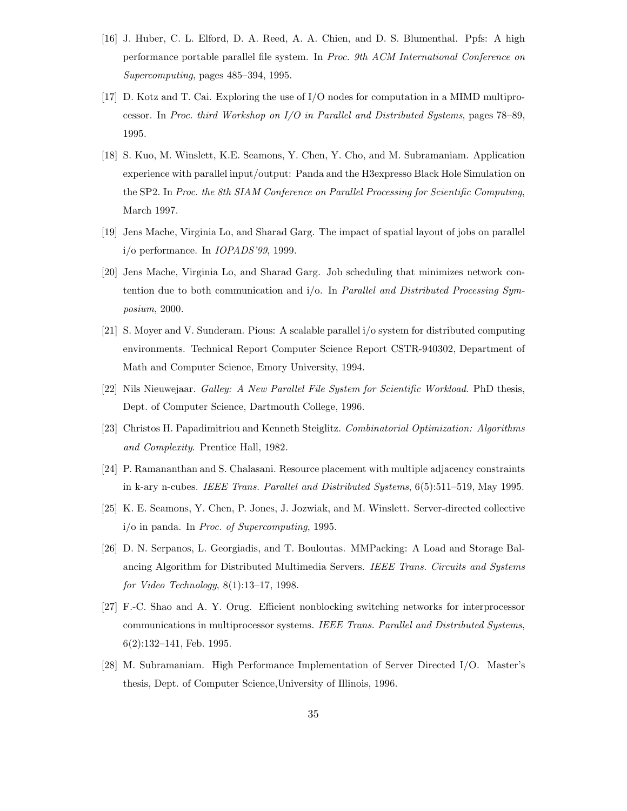- [16] J. Huber, C. L. Elford, D. A. Reed, A. A. Chien, and D. S. Blumenthal. Ppfs: A high performance portable parallel file system. In *Proc. 9th ACM International Conference on Supercomputing*, pages 485–394, 1995.
- [17] D. Kotz and T. Cai. Exploring the use of I/O nodes for computation in a MIMD multiprocessor. In *Proc. third Workshop on I/O in Parallel and Distributed Systems*, pages 78–89, 1995.
- [18] S. Kuo, M. Winslett, K.E. Seamons, Y. Chen, Y. Cho, and M. Subramaniam. Application experience with parallel input/output: Panda and the H3expresso Black Hole Simulation on the SP2. In *Proc. the 8th SIAM Conference on Parallel Processing for Scientific Computing*, March 1997.
- [19] Jens Mache, Virginia Lo, and Sharad Garg. The impact of spatial layout of jobs on parallel i/o performance. In *IOPADS'99*, 1999.
- [20] Jens Mache, Virginia Lo, and Sharad Garg. Job scheduling that minimizes network contention due to both communication and i/o. In *Parallel and Distributed Processing Symposium*, 2000.
- [21] S. Moyer and V. Sunderam. Pious: A scalable parallel i/o system for distributed computing environments. Technical Report Computer Science Report CSTR-940302, Department of Math and Computer Science, Emory University, 1994.
- [22] Nils Nieuwejaar. *Galley: A New Parallel File System for Scientific Workload*. PhD thesis, Dept. of Computer Science, Dartmouth College, 1996.
- [23] Christos H. Papadimitriou and Kenneth Steiglitz. *Combinatorial Optimization: Algorithms and Complexity*. Prentice Hall, 1982.
- [24] P. Ramananthan and S. Chalasani. Resource placement with multiple adjacency constraints in k-ary n-cubes. *IEEE Trans. Parallel and Distributed Systems*, 6(5):511–519, May 1995.
- [25] K. E. Seamons, Y. Chen, P. Jones, J. Jozwiak, and M. Winslett. Server-directed collective i/o in panda. In *Proc. of Supercomputing*, 1995.
- [26] D. N. Serpanos, L. Georgiadis, and T. Bouloutas. MMPacking: A Load and Storage Balancing Algorithm for Distributed Multimedia Servers. *IEEE Trans. Circuits and Systems for Video Technology*, 8(1):13–17, 1998.
- [27] F.-C. Shao and A. Y. Orug. Efficient nonblocking switching networks for interprocessor communications in multiprocessor systems. *IEEE Trans. Parallel and Distributed Systems*, 6(2):132–141, Feb. 1995.
- [28] M. Subramaniam. High Performance Implementation of Server Directed I/O. Master's thesis, Dept. of Computer Science,University of Illinois, 1996.